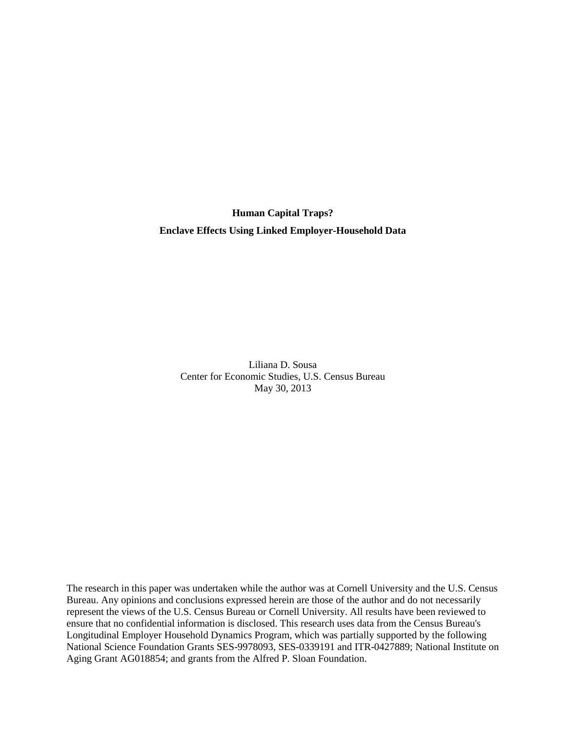**Human Capital Traps? Enclave Effects Using Linked Employer-Household Data**

Liliana D. Sousa Center for Economic Studies, U.S. Census Bureau May 30, 2013

The research in this paper was undertaken while the author was at Cornell University and the U.S. Census Bureau. Any opinions and conclusions expressed herein are those of the author and do not necessarily represent the views of the U.S. Census Bureau or Cornell University. All results have been reviewed to ensure that no confidential information is disclosed. This research uses data from the Census Bureau's Longitudinal Employer Household Dynamics Program, which was partially supported by the following National Science Foundation Grants SES-9978093, SES-0339191 and ITR-0427889; National Institute on Aging Grant AG018854; and grants from the Alfred P. Sloan Foundation.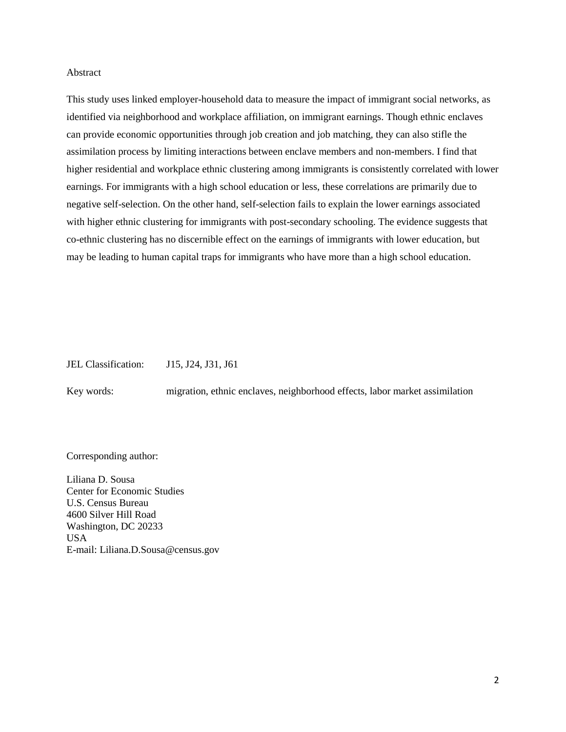## Abstract

This study uses linked employer-household data to measure the impact of immigrant social networks, as identified via neighborhood and workplace affiliation, on immigrant earnings. Though ethnic enclaves can provide economic opportunities through job creation and job matching, they can also stifle the assimilation process by limiting interactions between enclave members and non-members. I find that higher residential and workplace ethnic clustering among immigrants is consistently correlated with lower earnings. For immigrants with a high school education or less, these correlations are primarily due to negative self-selection. On the other hand, self-selection fails to explain the lower earnings associated with higher ethnic clustering for immigrants with post-secondary schooling. The evidence suggests that co-ethnic clustering has no discernible effect on the earnings of immigrants with lower education, but may be leading to human capital traps for immigrants who have more than a high school education.

JEL Classification: J15, J24, J31, J61

Key words: migration, ethnic enclaves, neighborhood effects, labor market assimilation

Corresponding author:

Liliana D. Sousa Center for Economic Studies U.S. Census Bureau 4600 Silver Hill Road Washington, DC 20233 USA E-mail: Liliana.D.Sousa@census.gov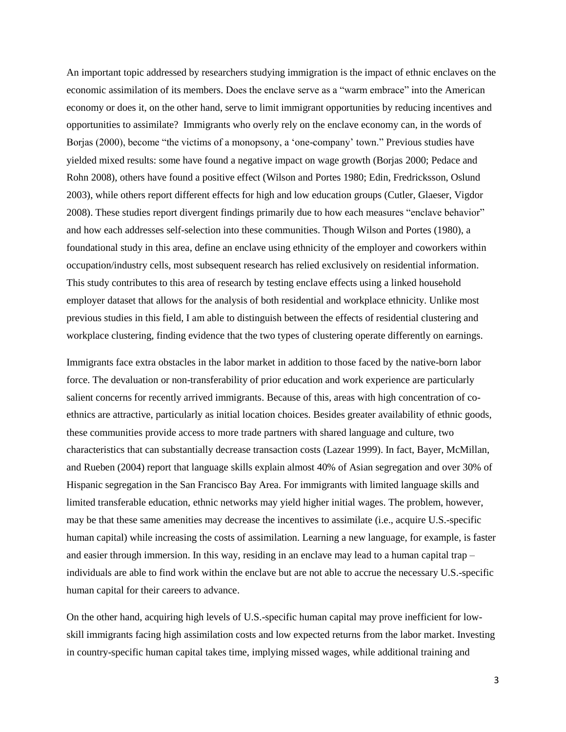An important topic addressed by researchers studying immigration is the impact of ethnic enclaves on the economic assimilation of its members. Does the enclave serve as a "warm embrace" into the American economy or does it, on the other hand, serve to limit immigrant opportunities by reducing incentives and opportunities to assimilate? Immigrants who overly rely on the enclave economy can, in the words of Borjas (2000), become "the victims of a monopsony, a 'one-company' town." Previous studies have yielded mixed results: some have found a negative impact on wage growth (Borjas 2000; Pedace and Rohn 2008), others have found a positive effect (Wilson and Portes 1980; Edin, Fredricksson, Oslund 2003), while others report different effects for high and low education groups (Cutler, Glaeser, Vigdor 2008). These studies report divergent findings primarily due to how each measures "enclave behavior" and how each addresses self-selection into these communities. Though Wilson and Portes (1980), a foundational study in this area, define an enclave using ethnicity of the employer and coworkers within occupation/industry cells, most subsequent research has relied exclusively on residential information. This study contributes to this area of research by testing enclave effects using a linked household employer dataset that allows for the analysis of both residential and workplace ethnicity. Unlike most previous studies in this field, I am able to distinguish between the effects of residential clustering and workplace clustering, finding evidence that the two types of clustering operate differently on earnings.

Immigrants face extra obstacles in the labor market in addition to those faced by the native-born labor force. The devaluation or non-transferability of prior education and work experience are particularly salient concerns for recently arrived immigrants. Because of this, areas with high concentration of coethnics are attractive, particularly as initial location choices. Besides greater availability of ethnic goods, these communities provide access to more trade partners with shared language and culture, two characteristics that can substantially decrease transaction costs (Lazear 1999). In fact, Bayer, McMillan, and Rueben (2004) report that language skills explain almost 40% of Asian segregation and over 30% of Hispanic segregation in the San Francisco Bay Area. For immigrants with limited language skills and limited transferable education, ethnic networks may yield higher initial wages. The problem, however, may be that these same amenities may decrease the incentives to assimilate (i.e., acquire U.S.-specific human capital) while increasing the costs of assimilation. Learning a new language, for example, is faster and easier through immersion. In this way, residing in an enclave may lead to a human capital trap – individuals are able to find work within the enclave but are not able to accrue the necessary U.S.-specific human capital for their careers to advance.

On the other hand, acquiring high levels of U.S.-specific human capital may prove inefficient for lowskill immigrants facing high assimilation costs and low expected returns from the labor market. Investing in country-specific human capital takes time, implying missed wages, while additional training and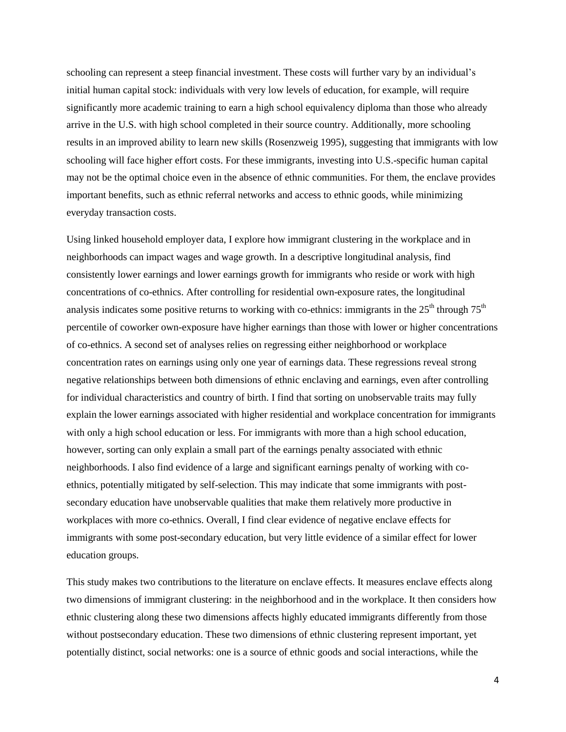schooling can represent a steep financial investment. These costs will further vary by an individual's initial human capital stock: individuals with very low levels of education, for example, will require significantly more academic training to earn a high school equivalency diploma than those who already arrive in the U.S. with high school completed in their source country. Additionally, more schooling results in an improved ability to learn new skills (Rosenzweig 1995), suggesting that immigrants with low schooling will face higher effort costs. For these immigrants, investing into U.S.-specific human capital may not be the optimal choice even in the absence of ethnic communities. For them, the enclave provides important benefits, such as ethnic referral networks and access to ethnic goods, while minimizing everyday transaction costs.

Using linked household employer data, I explore how immigrant clustering in the workplace and in neighborhoods can impact wages and wage growth. In a descriptive longitudinal analysis, find consistently lower earnings and lower earnings growth for immigrants who reside or work with high concentrations of co-ethnics. After controlling for residential own-exposure rates, the longitudinal analysis indicates some positive returns to working with co-ethnics: immigrants in the  $25<sup>th</sup>$  through  $75<sup>th</sup>$ percentile of coworker own-exposure have higher earnings than those with lower or higher concentrations of co-ethnics. A second set of analyses relies on regressing either neighborhood or workplace concentration rates on earnings using only one year of earnings data. These regressions reveal strong negative relationships between both dimensions of ethnic enclaving and earnings, even after controlling for individual characteristics and country of birth. I find that sorting on unobservable traits may fully explain the lower earnings associated with higher residential and workplace concentration for immigrants with only a high school education or less. For immigrants with more than a high school education, however, sorting can only explain a small part of the earnings penalty associated with ethnic neighborhoods. I also find evidence of a large and significant earnings penalty of working with coethnics, potentially mitigated by self-selection. This may indicate that some immigrants with postsecondary education have unobservable qualities that make them relatively more productive in workplaces with more co-ethnics. Overall, I find clear evidence of negative enclave effects for immigrants with some post-secondary education, but very little evidence of a similar effect for lower education groups.

This study makes two contributions to the literature on enclave effects. It measures enclave effects along two dimensions of immigrant clustering: in the neighborhood and in the workplace. It then considers how ethnic clustering along these two dimensions affects highly educated immigrants differently from those without postsecondary education. These two dimensions of ethnic clustering represent important, yet potentially distinct, social networks: one is a source of ethnic goods and social interactions, while the

4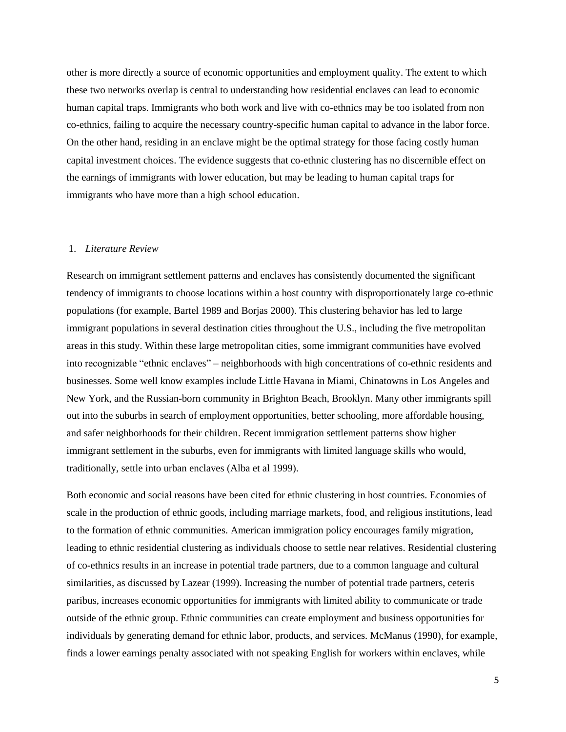other is more directly a source of economic opportunities and employment quality. The extent to which these two networks overlap is central to understanding how residential enclaves can lead to economic human capital traps. Immigrants who both work and live with co-ethnics may be too isolated from non co-ethnics, failing to acquire the necessary country-specific human capital to advance in the labor force. On the other hand, residing in an enclave might be the optimal strategy for those facing costly human capital investment choices. The evidence suggests that co-ethnic clustering has no discernible effect on the earnings of immigrants with lower education, but may be leading to human capital traps for immigrants who have more than a high school education.

### 1. *Literature Review*

Research on immigrant settlement patterns and enclaves has consistently documented the significant tendency of immigrants to choose locations within a host country with disproportionately large co-ethnic populations (for example, Bartel 1989 and Borjas 2000). This clustering behavior has led to large immigrant populations in several destination cities throughout the U.S., including the five metropolitan areas in this study. Within these large metropolitan cities, some immigrant communities have evolved into recognizable "ethnic enclaves" – neighborhoods with high concentrations of co-ethnic residents and businesses. Some well know examples include Little Havana in Miami, Chinatowns in Los Angeles and New York, and the Russian-born community in Brighton Beach, Brooklyn. Many other immigrants spill out into the suburbs in search of employment opportunities, better schooling, more affordable housing, and safer neighborhoods for their children. Recent immigration settlement patterns show higher immigrant settlement in the suburbs, even for immigrants with limited language skills who would, traditionally, settle into urban enclaves (Alba et al 1999).

Both economic and social reasons have been cited for ethnic clustering in host countries. Economies of scale in the production of ethnic goods, including marriage markets, food, and religious institutions, lead to the formation of ethnic communities. American immigration policy encourages family migration, leading to ethnic residential clustering as individuals choose to settle near relatives. Residential clustering of co-ethnics results in an increase in potential trade partners, due to a common language and cultural similarities, as discussed by Lazear (1999). Increasing the number of potential trade partners, ceteris paribus, increases economic opportunities for immigrants with limited ability to communicate or trade outside of the ethnic group. Ethnic communities can create employment and business opportunities for individuals by generating demand for ethnic labor, products, and services. McManus (1990), for example, finds a lower earnings penalty associated with not speaking English for workers within enclaves, while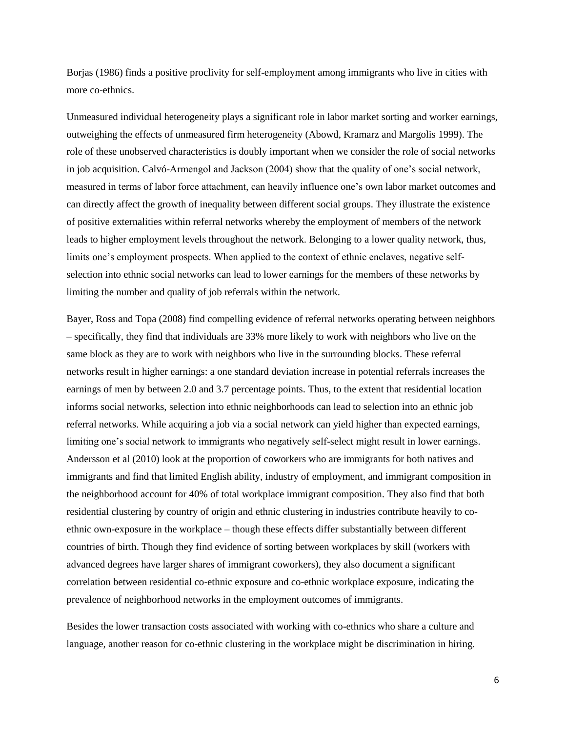Borjas (1986) finds a positive proclivity for self-employment among immigrants who live in cities with more co-ethnics.

Unmeasured individual heterogeneity plays a significant role in labor market sorting and worker earnings, outweighing the effects of unmeasured firm heterogeneity (Abowd, Kramarz and Margolis 1999). The role of these unobserved characteristics is doubly important when we consider the role of social networks in job acquisition. Calvó-Armengol and Jackson (2004) show that the quality of one's social network, measured in terms of labor force attachment, can heavily influence one's own labor market outcomes and can directly affect the growth of inequality between different social groups. They illustrate the existence of positive externalities within referral networks whereby the employment of members of the network leads to higher employment levels throughout the network. Belonging to a lower quality network, thus, limits one's employment prospects. When applied to the context of ethnic enclaves, negative selfselection into ethnic social networks can lead to lower earnings for the members of these networks by limiting the number and quality of job referrals within the network.

Bayer, Ross and Topa (2008) find compelling evidence of referral networks operating between neighbors – specifically, they find that individuals are 33% more likely to work with neighbors who live on the same block as they are to work with neighbors who live in the surrounding blocks. These referral networks result in higher earnings: a one standard deviation increase in potential referrals increases the earnings of men by between 2.0 and 3.7 percentage points. Thus, to the extent that residential location informs social networks, selection into ethnic neighborhoods can lead to selection into an ethnic job referral networks. While acquiring a job via a social network can yield higher than expected earnings, limiting one's social network to immigrants who negatively self-select might result in lower earnings. Andersson et al (2010) look at the proportion of coworkers who are immigrants for both natives and immigrants and find that limited English ability, industry of employment, and immigrant composition in the neighborhood account for 40% of total workplace immigrant composition. They also find that both residential clustering by country of origin and ethnic clustering in industries contribute heavily to coethnic own-exposure in the workplace – though these effects differ substantially between different countries of birth. Though they find evidence of sorting between workplaces by skill (workers with advanced degrees have larger shares of immigrant coworkers), they also document a significant correlation between residential co-ethnic exposure and co-ethnic workplace exposure, indicating the prevalence of neighborhood networks in the employment outcomes of immigrants.

Besides the lower transaction costs associated with working with co-ethnics who share a culture and language, another reason for co-ethnic clustering in the workplace might be discrimination in hiring.

6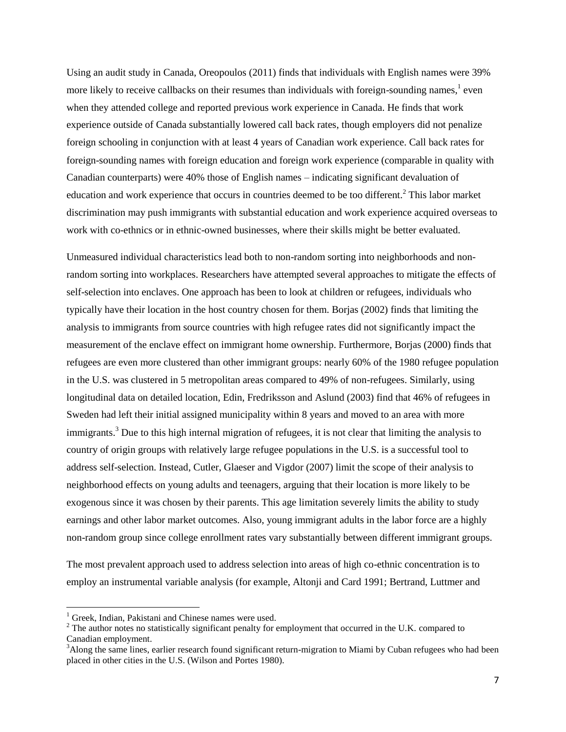Using an audit study in Canada, Oreopoulos (2011) finds that individuals with English names were 39% more likely to receive callbacks on their resumes than individuals with foreign-sounding names, <sup>1</sup> even when they attended college and reported previous work experience in Canada. He finds that work experience outside of Canada substantially lowered call back rates, though employers did not penalize foreign schooling in conjunction with at least 4 years of Canadian work experience. Call back rates for foreign-sounding names with foreign education and foreign work experience (comparable in quality with Canadian counterparts) were 40% those of English names – indicating significant devaluation of education and work experience that occurs in countries deemed to be too different.<sup>2</sup> This labor market discrimination may push immigrants with substantial education and work experience acquired overseas to work with co-ethnics or in ethnic-owned businesses, where their skills might be better evaluated.

Unmeasured individual characteristics lead both to non-random sorting into neighborhoods and nonrandom sorting into workplaces. Researchers have attempted several approaches to mitigate the effects of self-selection into enclaves. One approach has been to look at children or refugees, individuals who typically have their location in the host country chosen for them. Borjas (2002) finds that limiting the analysis to immigrants from source countries with high refugee rates did not significantly impact the measurement of the enclave effect on immigrant home ownership. Furthermore, Borjas (2000) finds that refugees are even more clustered than other immigrant groups: nearly 60% of the 1980 refugee population in the U.S. was clustered in 5 metropolitan areas compared to 49% of non-refugees. Similarly, using longitudinal data on detailed location, Edin, Fredriksson and Aslund (2003) find that 46% of refugees in Sweden had left their initial assigned municipality within 8 years and moved to an area with more immigrants.<sup>3</sup> Due to this high internal migration of refugees, it is not clear that limiting the analysis to country of origin groups with relatively large refugee populations in the U.S. is a successful tool to address self-selection. Instead, Cutler, Glaeser and Vigdor (2007) limit the scope of their analysis to neighborhood effects on young adults and teenagers, arguing that their location is more likely to be exogenous since it was chosen by their parents. This age limitation severely limits the ability to study earnings and other labor market outcomes. Also, young immigrant adults in the labor force are a highly non-random group since college enrollment rates vary substantially between different immigrant groups.

The most prevalent approach used to address selection into areas of high co-ethnic concentration is to employ an instrumental variable analysis (for example, Altonji and Card 1991; Bertrand, Luttmer and

 $\overline{a}$ 

 $1$  Greek. Indian, Pakistani and Chinese names were used.

<sup>&</sup>lt;sup>2</sup> The author notes no statistically significant penalty for employment that occurred in the U.K. compared to Canadian employment.

 $3A$ long the same lines, earlier research found significant return-migration to Miami by Cuban refugees who had been placed in other cities in the U.S. (Wilson and Portes 1980).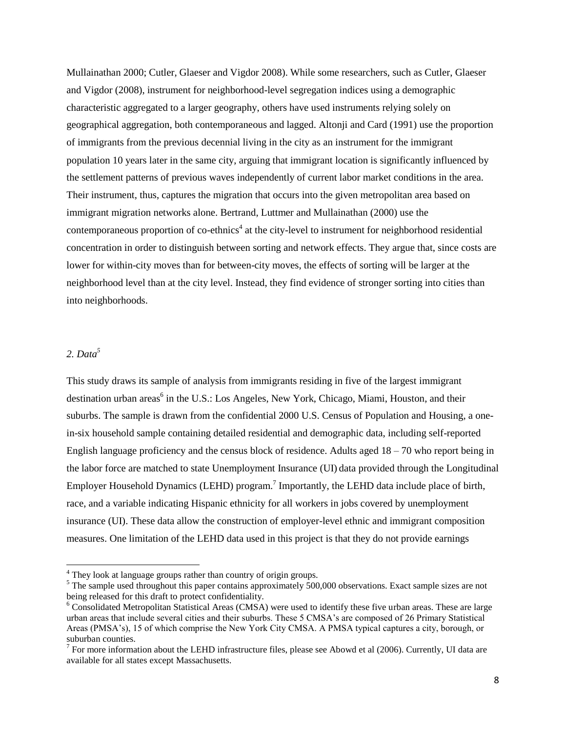Mullainathan 2000; Cutler, Glaeser and Vigdor 2008). While some researchers, such as Cutler, Glaeser and Vigdor (2008), instrument for neighborhood-level segregation indices using a demographic characteristic aggregated to a larger geography, others have used instruments relying solely on geographical aggregation, both contemporaneous and lagged. Altonji and Card (1991) use the proportion of immigrants from the previous decennial living in the city as an instrument for the immigrant population 10 years later in the same city, arguing that immigrant location is significantly influenced by the settlement patterns of previous waves independently of current labor market conditions in the area. Their instrument, thus, captures the migration that occurs into the given metropolitan area based on immigrant migration networks alone. Bertrand, Luttmer and Mullainathan (2000) use the  $\alpha$  contemporaneous proportion of  $\alpha$ -ethnics<sup>4</sup> at the city-level to instrument for neighborhood residential concentration in order to distinguish between sorting and network effects. They argue that, since costs are lower for within-city moves than for between-city moves, the effects of sorting will be larger at the neighborhood level than at the city level. Instead, they find evidence of stronger sorting into cities than into neighborhoods.

# *2. Data<sup>5</sup>*

 $\overline{\phantom{a}}$ 

This study draws its sample of analysis from immigrants residing in five of the largest immigrant destination urban areas<sup>6</sup> in the U.S.: Los Angeles, New York, Chicago, Miami, Houston, and their suburbs. The sample is drawn from the confidential 2000 U.S. Census of Population and Housing, a onein-six household sample containing detailed residential and demographic data, including self-reported English language proficiency and the census block of residence. Adults aged  $18 - 70$  who report being in the labor force are matched to state Unemployment Insurance (UI) data provided through the Longitudinal Employer Household Dynamics (LEHD) program.<sup>7</sup> Importantly, the LEHD data include place of birth, race, and a variable indicating Hispanic ethnicity for all workers in jobs covered by unemployment insurance (UI). These data allow the construction of employer-level ethnic and immigrant composition measures. One limitation of the LEHD data used in this project is that they do not provide earnings

<sup>&</sup>lt;sup>4</sup> They look at language groups rather than country of origin groups.

<sup>&</sup>lt;sup>5</sup> The sample used throughout this paper contains approximately 500,000 observations. Exact sample sizes are not being released for this draft to protect confidentiality.

<sup>6</sup> Consolidated Metropolitan Statistical Areas (CMSA) were used to identify these five urban areas. These are large urban areas that include several cities and their suburbs. These 5 CMSA's are composed of 26 Primary Statistical Areas (PMSA's), 15 of which comprise the New York City CMSA. A PMSA typical captures a city, borough, or suburban counties.

<sup>&</sup>lt;sup>7</sup> For more information about the LEHD infrastructure files, please see Abowd et al (2006). Currently, UI data are available for all states except Massachusetts.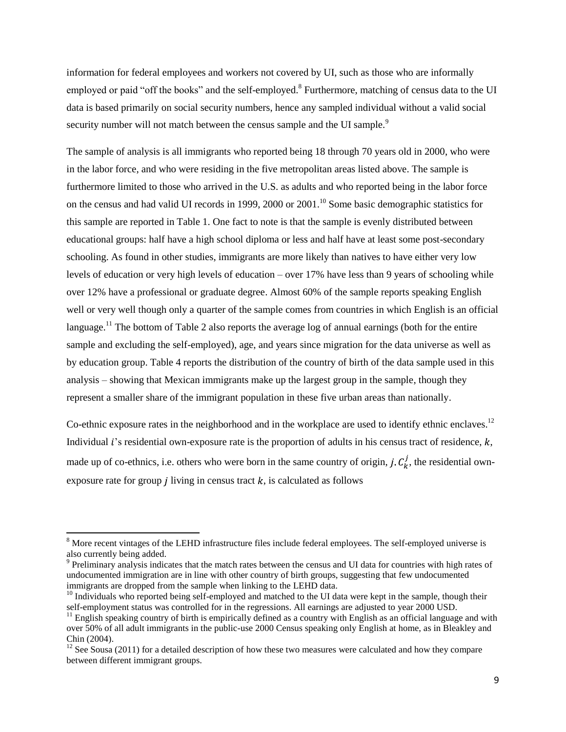information for federal employees and workers not covered by UI, such as those who are informally employed or paid "off the books" and the self-employed.<sup>8</sup> Furthermore, matching of census data to the UI data is based primarily on social security numbers, hence any sampled individual without a valid social security number will not match between the census sample and the UI sample.<sup>9</sup>

The sample of analysis is all immigrants who reported being 18 through 70 years old in 2000, who were in the labor force, and who were residing in the five metropolitan areas listed above. The sample is furthermore limited to those who arrived in the U.S. as adults and who reported being in the labor force on the census and had valid UI records in 1999, 2000 or 2001.<sup>10</sup> Some basic demographic statistics for this sample are reported in Table 1. One fact to note is that the sample is evenly distributed between educational groups: half have a high school diploma or less and half have at least some post-secondary schooling. As found in other studies, immigrants are more likely than natives to have either very low levels of education or very high levels of education – over 17% have less than 9 years of schooling while over 12% have a professional or graduate degree. Almost 60% of the sample reports speaking English well or very well though only a quarter of the sample comes from countries in which English is an official language.<sup>11</sup> The bottom of Table 2 also reports the average log of annual earnings (both for the entire sample and excluding the self-employed), age, and years since migration for the data universe as well as by education group. Table 4 reports the distribution of the country of birth of the data sample used in this analysis – showing that Mexican immigrants make up the largest group in the sample, though they represent a smaller share of the immigrant population in these five urban areas than nationally.

Co-ethnic exposure rates in the neighborhood and in the workplace are used to identify ethnic enclaves.<sup>12</sup> Individual  $i$ 's residential own-exposure rate is the proportion of adults in his census tract of residence,  $k$ , made up of co-ethnics, i.e. others who were born in the same country of origin, j.  $C_k^j$ , the residential ownexposure rate for group *i* living in census tract  $k$ , is calculated as follows

 $\overline{a}$ 

<sup>&</sup>lt;sup>8</sup> More recent vintages of the LEHD infrastructure files include federal employees. The self-employed universe is also currently being added.

<sup>&</sup>lt;sup>9</sup> Preliminary analysis indicates that the match rates between the census and UI data for countries with high rates of undocumented immigration are in line with other country of birth groups, suggesting that few undocumented immigrants are dropped from the sample when linking to the LEHD data.

 $10$  Individuals who reported being self-employed and matched to the UI data were kept in the sample, though their self-employment status was controlled for in the regressions. All earnings are adjusted to year 2000 USD.

 $11$  English speaking country of birth is empirically defined as a country with English as an official language and with over 50% of all adult immigrants in the public-use 2000 Census speaking only English at home, as in Bleakley and Chin (2004).

<sup>&</sup>lt;sup>12</sup> See Sousa (2011) for a detailed description of how these two measures were calculated and how they compare between different immigrant groups.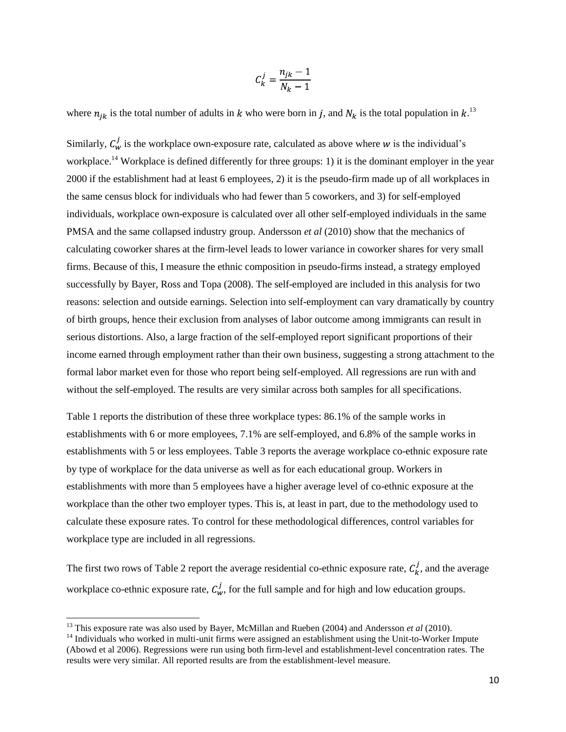$$
C_k^j = \frac{n_{jk} - 1}{N_k - 1}
$$

where  $n_{ik}$  is the total number of adults in k who were born in j, and  $N_k$  is the total population in k.<sup>13</sup>

Similarly,  $C_w^j$  is the workplace own-exposure rate, calculated as above where w is the individual's workplace.<sup>14</sup> Workplace is defined differently for three groups: 1) it is the dominant employer in the year 2000 if the establishment had at least 6 employees, 2) it is the pseudo-firm made up of all workplaces in the same census block for individuals who had fewer than 5 coworkers, and 3) for self-employed individuals, workplace own-exposure is calculated over all other self-employed individuals in the same PMSA and the same collapsed industry group. Andersson *et al* (2010) show that the mechanics of calculating coworker shares at the firm-level leads to lower variance in coworker shares for very small firms. Because of this, I measure the ethnic composition in pseudo-firms instead, a strategy employed successfully by Bayer, Ross and Topa (2008). The self-employed are included in this analysis for two reasons: selection and outside earnings. Selection into self-employment can vary dramatically by country of birth groups, hence their exclusion from analyses of labor outcome among immigrants can result in serious distortions. Also, a large fraction of the self-employed report significant proportions of their income earned through employment rather than their own business, suggesting a strong attachment to the formal labor market even for those who report being self-employed. All regressions are run with and without the self-employed. The results are very similar across both samples for all specifications.

Table 1 reports the distribution of these three workplace types: 86.1% of the sample works in establishments with 6 or more employees, 7.1% are self-employed, and 6.8% of the sample works in establishments with 5 or less employees. Table 3 reports the average workplace co-ethnic exposure rate by type of workplace for the data universe as well as for each educational group. Workers in establishments with more than 5 employees have a higher average level of co-ethnic exposure at the workplace than the other two employer types. This is, at least in part, due to the methodology used to calculate these exposure rates. To control for these methodological differences, control variables for workplace type are included in all regressions.

The first two rows of Table 2 report the average residential co-ethnic exposure rate,  $C_k^j$ , and the average workplace co-ethnic exposure rate,  $C_w^j$ , for the full sample and for high and low education groups.

 $\overline{\phantom{a}}$ 

<sup>13</sup> This exposure rate was also used by Bayer, McMillan and Rueben (2004) and Andersson *et al* (2010).

<sup>&</sup>lt;sup>14</sup> Individuals who worked in multi-unit firms were assigned an establishment using the Unit-to-Worker Impute (Abowd et al 2006). Regressions were run using both firm-level and establishment-level concentration rates. The results were very similar. All reported results are from the establishment-level measure.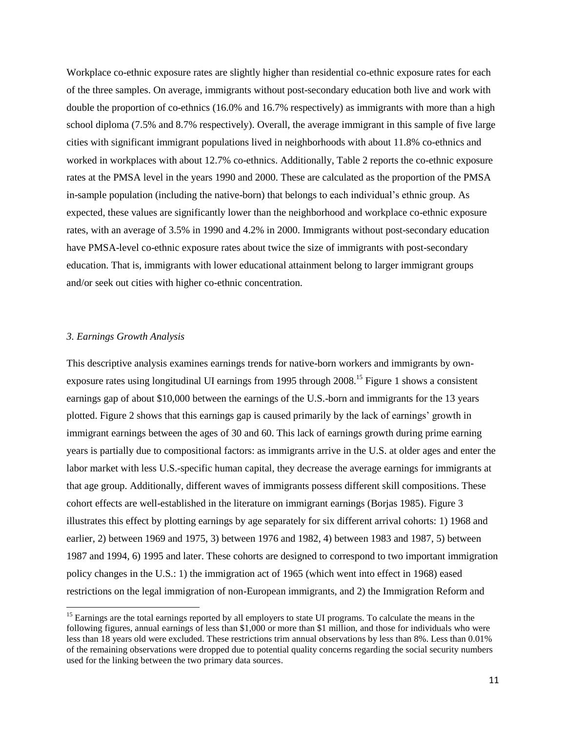Workplace co-ethnic exposure rates are slightly higher than residential co-ethnic exposure rates for each of the three samples. On average, immigrants without post-secondary education both live and work with double the proportion of co-ethnics (16.0% and 16.7% respectively) as immigrants with more than a high school diploma (7.5% and 8.7% respectively). Overall, the average immigrant in this sample of five large cities with significant immigrant populations lived in neighborhoods with about 11.8% co-ethnics and worked in workplaces with about 12.7% co-ethnics. Additionally, Table 2 reports the co-ethnic exposure rates at the PMSA level in the years 1990 and 2000. These are calculated as the proportion of the PMSA in-sample population (including the native-born) that belongs to each individual's ethnic group. As expected, these values are significantly lower than the neighborhood and workplace co-ethnic exposure rates, with an average of 3.5% in 1990 and 4.2% in 2000. Immigrants without post-secondary education have PMSA-level co-ethnic exposure rates about twice the size of immigrants with post-secondary education. That is, immigrants with lower educational attainment belong to larger immigrant groups and/or seek out cities with higher co-ethnic concentration.

## *3. Earnings Growth Analysis*

 $\overline{a}$ 

This descriptive analysis examines earnings trends for native-born workers and immigrants by ownexposure rates using longitudinal UI earnings from 1995 through 2008.<sup>15</sup> Figure 1 shows a consistent earnings gap of about \$10,000 between the earnings of the U.S.-born and immigrants for the 13 years plotted. Figure 2 shows that this earnings gap is caused primarily by the lack of earnings' growth in immigrant earnings between the ages of 30 and 60. This lack of earnings growth during prime earning years is partially due to compositional factors: as immigrants arrive in the U.S. at older ages and enter the labor market with less U.S.-specific human capital, they decrease the average earnings for immigrants at that age group. Additionally, different waves of immigrants possess different skill compositions. These cohort effects are well-established in the literature on immigrant earnings (Borjas 1985). Figure 3 illustrates this effect by plotting earnings by age separately for six different arrival cohorts: 1) 1968 and earlier, 2) between 1969 and 1975, 3) between 1976 and 1982, 4) between 1983 and 1987, 5) between 1987 and 1994, 6) 1995 and later. These cohorts are designed to correspond to two important immigration policy changes in the U.S.: 1) the immigration act of 1965 (which went into effect in 1968) eased restrictions on the legal immigration of non-European immigrants, and 2) the Immigration Reform and

<sup>&</sup>lt;sup>15</sup> Earnings are the total earnings reported by all employers to state UI programs. To calculate the means in the following figures, annual earnings of less than \$1,000 or more than \$1 million, and those for individuals who were less than 18 years old were excluded. These restrictions trim annual observations by less than 8%. Less than 0.01% of the remaining observations were dropped due to potential quality concerns regarding the social security numbers used for the linking between the two primary data sources.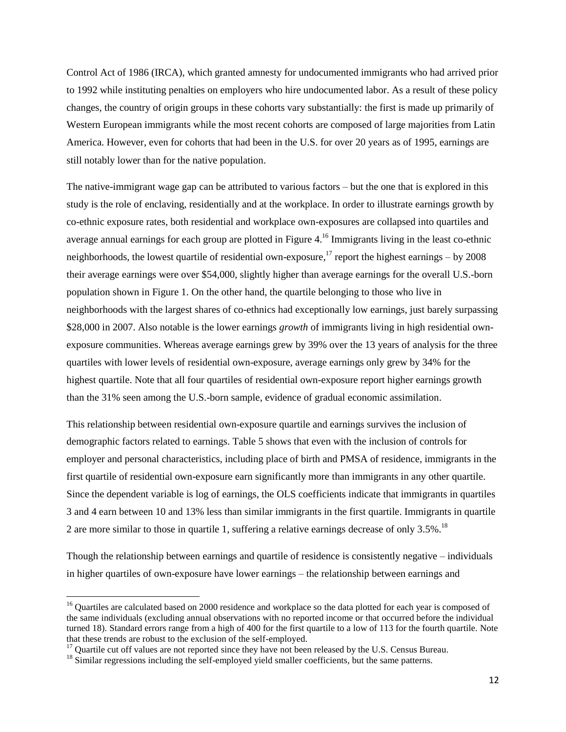Control Act of 1986 (IRCA), which granted amnesty for undocumented immigrants who had arrived prior to 1992 while instituting penalties on employers who hire undocumented labor. As a result of these policy changes, the country of origin groups in these cohorts vary substantially: the first is made up primarily of Western European immigrants while the most recent cohorts are composed of large majorities from Latin America. However, even for cohorts that had been in the U.S. for over 20 years as of 1995, earnings are still notably lower than for the native population.

The native-immigrant wage gap can be attributed to various factors – but the one that is explored in this study is the role of enclaving, residentially and at the workplace. In order to illustrate earnings growth by co-ethnic exposure rates, both residential and workplace own-exposures are collapsed into quartiles and average annual earnings for each group are plotted in Figure 4.<sup>16</sup> Immigrants living in the least co-ethnic neighborhoods, the lowest quartile of residential own-exposure,<sup>17</sup> report the highest earnings  $-$  by 2008 their average earnings were over \$54,000, slightly higher than average earnings for the overall U.S.-born population shown in Figure 1. On the other hand, the quartile belonging to those who live in neighborhoods with the largest shares of co-ethnics had exceptionally low earnings, just barely surpassing \$28,000 in 2007. Also notable is the lower earnings *growth* of immigrants living in high residential ownexposure communities. Whereas average earnings grew by 39% over the 13 years of analysis for the three quartiles with lower levels of residential own-exposure, average earnings only grew by 34% for the highest quartile. Note that all four quartiles of residential own-exposure report higher earnings growth than the 31% seen among the U.S.-born sample, evidence of gradual economic assimilation.

This relationship between residential own-exposure quartile and earnings survives the inclusion of demographic factors related to earnings. Table 5 shows that even with the inclusion of controls for employer and personal characteristics, including place of birth and PMSA of residence, immigrants in the first quartile of residential own-exposure earn significantly more than immigrants in any other quartile. Since the dependent variable is log of earnings, the OLS coefficients indicate that immigrants in quartiles 3 and 4 earn between 10 and 13% less than similar immigrants in the first quartile. Immigrants in quartile 2 are more similar to those in quartile 1, suffering a relative earnings decrease of only  $3.5\%$ .<sup>18</sup>

Though the relationship between earnings and quartile of residence is consistently negative – individuals in higher quartiles of own-exposure have lower earnings – the relationship between earnings and

l

<sup>&</sup>lt;sup>16</sup> Quartiles are calculated based on 2000 residence and workplace so the data plotted for each year is composed of the same individuals (excluding annual observations with no reported income or that occurred before the individual turned 18). Standard errors range from a high of 400 for the first quartile to a low of 113 for the fourth quartile. Note that these trends are robust to the exclusion of the self-employed.

<sup>&</sup>lt;sup>17</sup> Quartile cut off values are not reported since they have not been released by the U.S. Census Bureau.

 $18$  Similar regressions including the self-employed yield smaller coefficients, but the same patterns.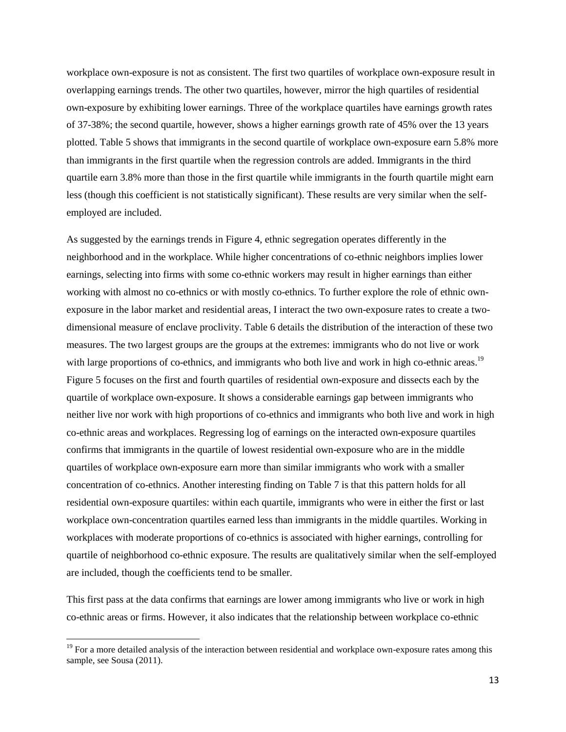workplace own-exposure is not as consistent. The first two quartiles of workplace own-exposure result in overlapping earnings trends. The other two quartiles, however, mirror the high quartiles of residential own-exposure by exhibiting lower earnings. Three of the workplace quartiles have earnings growth rates of 37-38%; the second quartile, however, shows a higher earnings growth rate of 45% over the 13 years plotted. Table 5 shows that immigrants in the second quartile of workplace own-exposure earn 5.8% more than immigrants in the first quartile when the regression controls are added. Immigrants in the third quartile earn 3.8% more than those in the first quartile while immigrants in the fourth quartile might earn less (though this coefficient is not statistically significant). These results are very similar when the selfemployed are included.

As suggested by the earnings trends in Figure 4, ethnic segregation operates differently in the neighborhood and in the workplace. While higher concentrations of co-ethnic neighbors implies lower earnings, selecting into firms with some co-ethnic workers may result in higher earnings than either working with almost no co-ethnics or with mostly co-ethnics. To further explore the role of ethnic ownexposure in the labor market and residential areas, I interact the two own-exposure rates to create a twodimensional measure of enclave proclivity. Table 6 details the distribution of the interaction of these two measures. The two largest groups are the groups at the extremes: immigrants who do not live or work with large proportions of co-ethnics, and immigrants who both live and work in high co-ethnic areas.<sup>19</sup> Figure 5 focuses on the first and fourth quartiles of residential own-exposure and dissects each by the quartile of workplace own-exposure. It shows a considerable earnings gap between immigrants who neither live nor work with high proportions of co-ethnics and immigrants who both live and work in high co-ethnic areas and workplaces. Regressing log of earnings on the interacted own-exposure quartiles confirms that immigrants in the quartile of lowest residential own-exposure who are in the middle quartiles of workplace own-exposure earn more than similar immigrants who work with a smaller concentration of co-ethnics. Another interesting finding on Table 7 is that this pattern holds for all residential own-exposure quartiles: within each quartile, immigrants who were in either the first or last workplace own-concentration quartiles earned less than immigrants in the middle quartiles. Working in workplaces with moderate proportions of co-ethnics is associated with higher earnings, controlling for quartile of neighborhood co-ethnic exposure. The results are qualitatively similar when the self-employed are included, though the coefficients tend to be smaller.

This first pass at the data confirms that earnings are lower among immigrants who live or work in high co-ethnic areas or firms. However, it also indicates that the relationship between workplace co-ethnic

 $\overline{\phantom{a}}$ 

 $19$  For a more detailed analysis of the interaction between residential and workplace own-exposure rates among this sample, see Sousa (2011).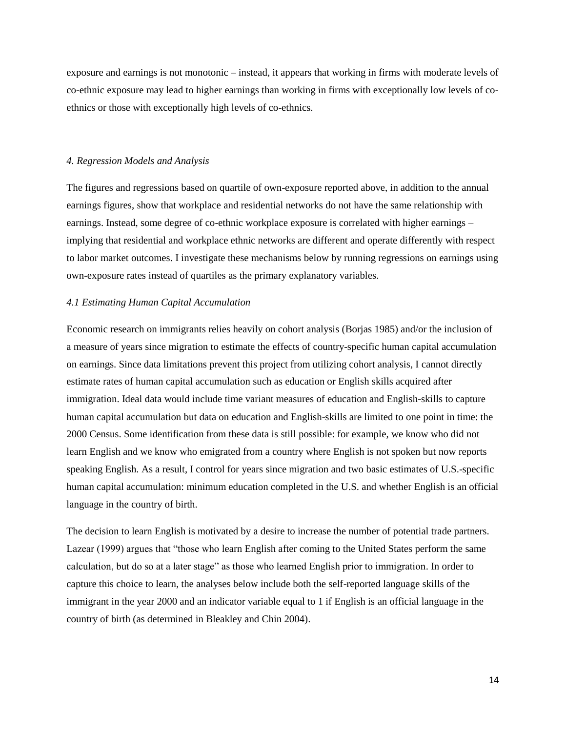exposure and earnings is not monotonic – instead, it appears that working in firms with moderate levels of co-ethnic exposure may lead to higher earnings than working in firms with exceptionally low levels of coethnics or those with exceptionally high levels of co-ethnics.

#### *4. Regression Models and Analysis*

The figures and regressions based on quartile of own-exposure reported above, in addition to the annual earnings figures, show that workplace and residential networks do not have the same relationship with earnings. Instead, some degree of co-ethnic workplace exposure is correlated with higher earnings – implying that residential and workplace ethnic networks are different and operate differently with respect to labor market outcomes. I investigate these mechanisms below by running regressions on earnings using own-exposure rates instead of quartiles as the primary explanatory variables.

#### *4.1 Estimating Human Capital Accumulation*

Economic research on immigrants relies heavily on cohort analysis (Borjas 1985) and/or the inclusion of a measure of years since migration to estimate the effects of country-specific human capital accumulation on earnings. Since data limitations prevent this project from utilizing cohort analysis, I cannot directly estimate rates of human capital accumulation such as education or English skills acquired after immigration. Ideal data would include time variant measures of education and English-skills to capture human capital accumulation but data on education and English-skills are limited to one point in time: the 2000 Census. Some identification from these data is still possible: for example, we know who did not learn English and we know who emigrated from a country where English is not spoken but now reports speaking English. As a result, I control for years since migration and two basic estimates of U.S.-specific human capital accumulation: minimum education completed in the U.S. and whether English is an official language in the country of birth.

The decision to learn English is motivated by a desire to increase the number of potential trade partners. Lazear (1999) argues that "those who learn English after coming to the United States perform the same calculation, but do so at a later stage" as those who learned English prior to immigration. In order to capture this choice to learn, the analyses below include both the self-reported language skills of the immigrant in the year 2000 and an indicator variable equal to 1 if English is an official language in the country of birth (as determined in Bleakley and Chin 2004).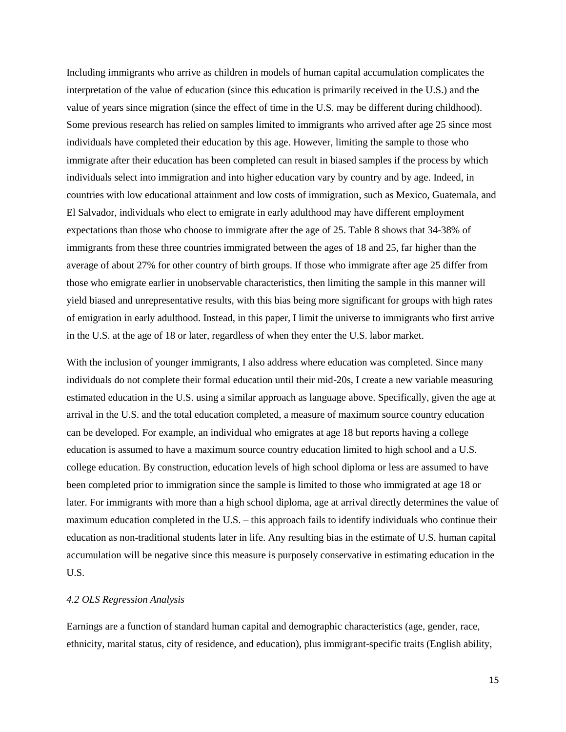Including immigrants who arrive as children in models of human capital accumulation complicates the interpretation of the value of education (since this education is primarily received in the U.S.) and the value of years since migration (since the effect of time in the U.S. may be different during childhood). Some previous research has relied on samples limited to immigrants who arrived after age 25 since most individuals have completed their education by this age. However, limiting the sample to those who immigrate after their education has been completed can result in biased samples if the process by which individuals select into immigration and into higher education vary by country and by age. Indeed, in countries with low educational attainment and low costs of immigration, such as Mexico, Guatemala, and El Salvador, individuals who elect to emigrate in early adulthood may have different employment expectations than those who choose to immigrate after the age of 25. Table 8 shows that 34-38% of immigrants from these three countries immigrated between the ages of 18 and 25, far higher than the average of about 27% for other country of birth groups. If those who immigrate after age 25 differ from those who emigrate earlier in unobservable characteristics, then limiting the sample in this manner will yield biased and unrepresentative results, with this bias being more significant for groups with high rates of emigration in early adulthood. Instead, in this paper, I limit the universe to immigrants who first arrive in the U.S. at the age of 18 or later, regardless of when they enter the U.S. labor market.

With the inclusion of younger immigrants, I also address where education was completed. Since many individuals do not complete their formal education until their mid-20s, I create a new variable measuring estimated education in the U.S. using a similar approach as language above. Specifically, given the age at arrival in the U.S. and the total education completed, a measure of maximum source country education can be developed. For example, an individual who emigrates at age 18 but reports having a college education is assumed to have a maximum source country education limited to high school and a U.S. college education. By construction, education levels of high school diploma or less are assumed to have been completed prior to immigration since the sample is limited to those who immigrated at age 18 or later. For immigrants with more than a high school diploma, age at arrival directly determines the value of maximum education completed in the U.S. – this approach fails to identify individuals who continue their education as non-traditional students later in life. Any resulting bias in the estimate of U.S. human capital accumulation will be negative since this measure is purposely conservative in estimating education in the U.S.

## *4.2 OLS Regression Analysis*

Earnings are a function of standard human capital and demographic characteristics (age, gender, race, ethnicity, marital status, city of residence, and education), plus immigrant-specific traits (English ability,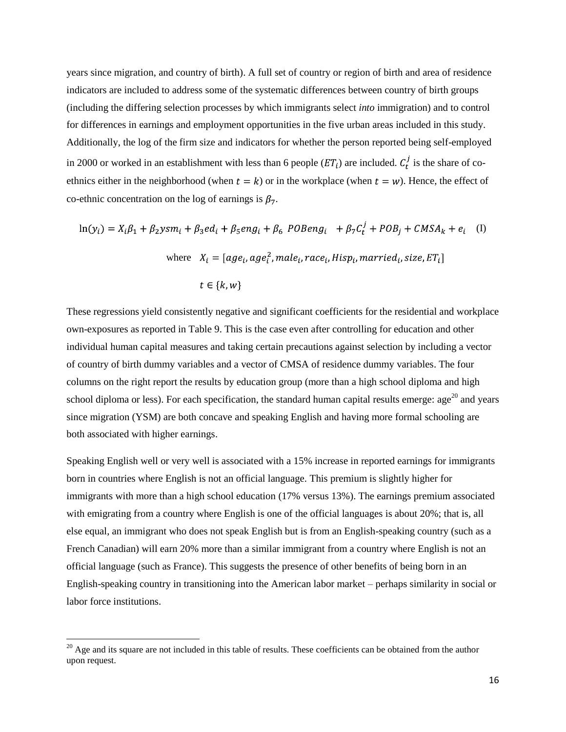years since migration, and country of birth). A full set of country or region of birth and area of residence indicators are included to address some of the systematic differences between country of birth groups (including the differing selection processes by which immigrants select *into* immigration) and to control for differences in earnings and employment opportunities in the five urban areas included in this study. Additionally, the log of the firm size and indicators for whether the person reported being self-employed in 2000 or worked in an establishment with less than 6 people  $(ET_i)$  are included.  $C_i^j$  is the share of coethnics either in the neighborhood (when  $t = k$ ) or in the workplace (when  $t = w$ ). Hence, the effect of co-ethnic concentration on the log of earnings is  $\beta_7$ .

$$
\ln(y_i) = X_i \beta_1 + \beta_2 y s m_i + \beta_3 e d_i + \beta_5 e n g_i + \beta_6 \ POBeng_i + \beta_7 C_t^j + POB_j + CMS A_k + e_i \quad (I)
$$
\nwhere  $X_i = [age_i, age_i^2, male_i, race_i, Hisp_i, married_i, size, ET_i]$ 

\n $t \in \{k, w\}$ 

These regressions yield consistently negative and significant coefficients for the residential and workplace own-exposures as reported in Table 9. This is the case even after controlling for education and other individual human capital measures and taking certain precautions against selection by including a vector of country of birth dummy variables and a vector of CMSA of residence dummy variables. The four columns on the right report the results by education group (more than a high school diploma and high school diploma or less). For each specification, the standard human capital results emerge:  $age^{20}$  and years since migration (YSM) are both concave and speaking English and having more formal schooling are both associated with higher earnings.

Speaking English well or very well is associated with a 15% increase in reported earnings for immigrants born in countries where English is not an official language. This premium is slightly higher for immigrants with more than a high school education (17% versus 13%). The earnings premium associated with emigrating from a country where English is one of the official languages is about 20%; that is, all else equal, an immigrant who does not speak English but is from an English-speaking country (such as a French Canadian) will earn 20% more than a similar immigrant from a country where English is not an official language (such as France). This suggests the presence of other benefits of being born in an English-speaking country in transitioning into the American labor market – perhaps similarity in social or labor force institutions.

 $\overline{\phantom{a}}$ 

 $20$  Age and its square are not included in this table of results. These coefficients can be obtained from the author upon request.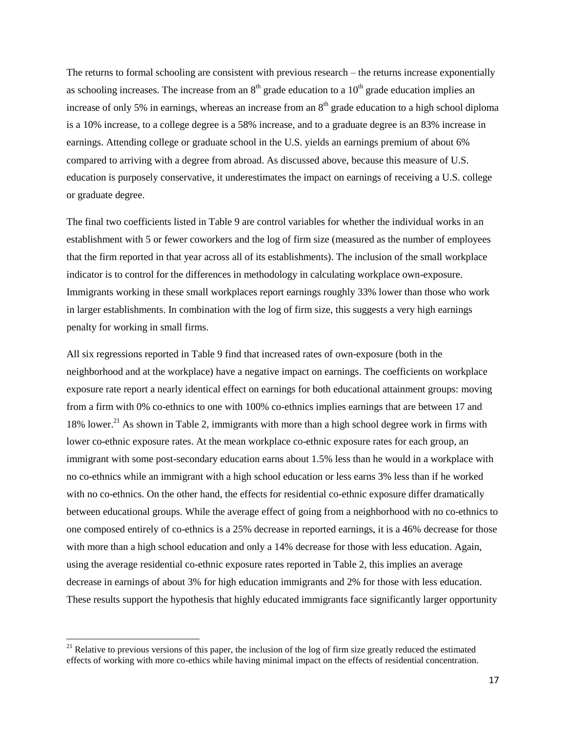The returns to formal schooling are consistent with previous research – the returns increase exponentially as schooling increases. The increase from an  $8<sup>th</sup>$  grade education to a  $10<sup>th</sup>$  grade education implies an increase of only 5% in earnings, whereas an increase from an  $8<sup>th</sup>$  grade education to a high school diploma is a 10% increase, to a college degree is a 58% increase, and to a graduate degree is an 83% increase in earnings. Attending college or graduate school in the U.S. yields an earnings premium of about 6% compared to arriving with a degree from abroad. As discussed above, because this measure of U.S. education is purposely conservative, it underestimates the impact on earnings of receiving a U.S. college or graduate degree.

The final two coefficients listed in Table 9 are control variables for whether the individual works in an establishment with 5 or fewer coworkers and the log of firm size (measured as the number of employees that the firm reported in that year across all of its establishments). The inclusion of the small workplace indicator is to control for the differences in methodology in calculating workplace own-exposure. Immigrants working in these small workplaces report earnings roughly 33% lower than those who work in larger establishments. In combination with the log of firm size, this suggests a very high earnings penalty for working in small firms.

All six regressions reported in Table 9 find that increased rates of own-exposure (both in the neighborhood and at the workplace) have a negative impact on earnings. The coefficients on workplace exposure rate report a nearly identical effect on earnings for both educational attainment groups: moving from a firm with 0% co-ethnics to one with 100% co-ethnics implies earnings that are between 17 and 18% lower.<sup>21</sup> As shown in Table 2, immigrants with more than a high school degree work in firms with lower co-ethnic exposure rates. At the mean workplace co-ethnic exposure rates for each group, an immigrant with some post-secondary education earns about 1.5% less than he would in a workplace with no co-ethnics while an immigrant with a high school education or less earns 3% less than if he worked with no co-ethnics. On the other hand, the effects for residential co-ethnic exposure differ dramatically between educational groups. While the average effect of going from a neighborhood with no co-ethnics to one composed entirely of co-ethnics is a 25% decrease in reported earnings, it is a 46% decrease for those with more than a high school education and only a 14% decrease for those with less education. Again, using the average residential co-ethnic exposure rates reported in Table 2, this implies an average decrease in earnings of about 3% for high education immigrants and 2% for those with less education. These results support the hypothesis that highly educated immigrants face significantly larger opportunity

 $\overline{\phantom{a}}$ 

 $21$  Relative to previous versions of this paper, the inclusion of the log of firm size greatly reduced the estimated effects of working with more co-ethics while having minimal impact on the effects of residential concentration.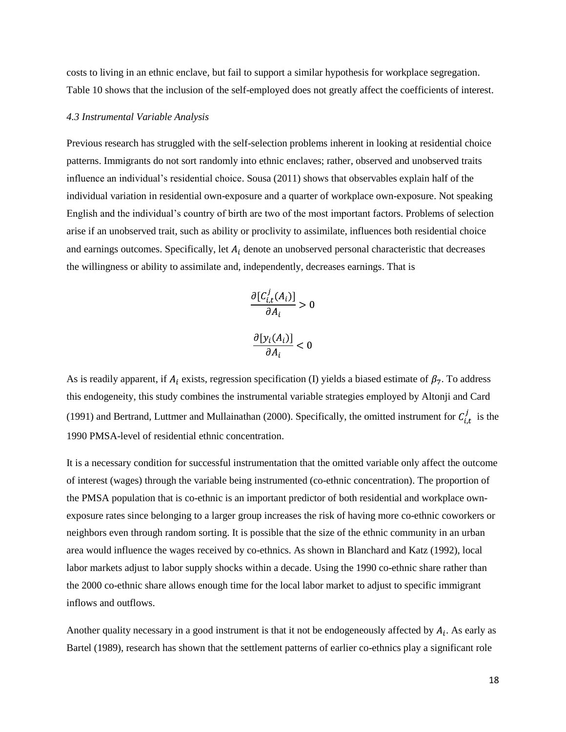costs to living in an ethnic enclave, but fail to support a similar hypothesis for workplace segregation. Table 10 shows that the inclusion of the self-employed does not greatly affect the coefficients of interest.

### *4.3 Instrumental Variable Analysis*

Previous research has struggled with the self-selection problems inherent in looking at residential choice patterns. Immigrants do not sort randomly into ethnic enclaves; rather, observed and unobserved traits influence an individual's residential choice. Sousa (2011) shows that observables explain half of the individual variation in residential own-exposure and a quarter of workplace own-exposure. Not speaking English and the individual's country of birth are two of the most important factors. Problems of selection arise if an unobserved trait, such as ability or proclivity to assimilate, influences both residential choice and earnings outcomes. Specifically, let  $A_i$  denote an unobserved personal characteristic that decreases the willingness or ability to assimilate and, independently, decreases earnings. That is

$$
\frac{\partial [C_{i,t}^j(A_i)]}{\partial A_i} > 0
$$

$$
\frac{\partial [y_i(A_i)]}{\partial A_i} < 0
$$

As is readily apparent, if  $A_i$  exists, regression specification (I) yields a biased estimate of  $\beta_7$ . To address this endogeneity, this study combines the instrumental variable strategies employed by Altonji and Card (1991) and Bertrand, Luttmer and Mullainathan (2000). Specifically, the omitted instrument for  $C_{i,t}^{j}$  is the 1990 PMSA-level of residential ethnic concentration.

It is a necessary condition for successful instrumentation that the omitted variable only affect the outcome of interest (wages) through the variable being instrumented (co-ethnic concentration). The proportion of the PMSA population that is co-ethnic is an important predictor of both residential and workplace ownexposure rates since belonging to a larger group increases the risk of having more co-ethnic coworkers or neighbors even through random sorting. It is possible that the size of the ethnic community in an urban area would influence the wages received by co-ethnics. As shown in Blanchard and Katz (1992), local labor markets adjust to labor supply shocks within a decade. Using the 1990 co-ethnic share rather than the 2000 co-ethnic share allows enough time for the local labor market to adjust to specific immigrant inflows and outflows.

Another quality necessary in a good instrument is that it not be endogeneously affected by  $A_i$ . As early as Bartel (1989), research has shown that the settlement patterns of earlier co-ethnics play a significant role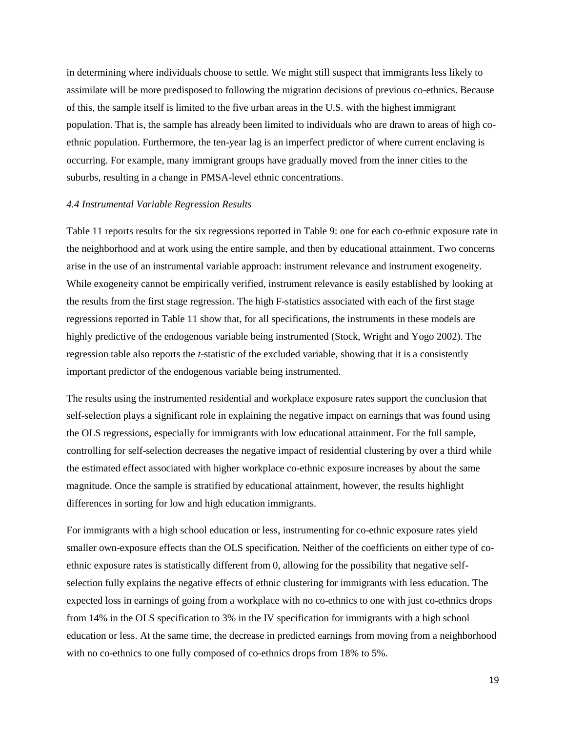in determining where individuals choose to settle. We might still suspect that immigrants less likely to assimilate will be more predisposed to following the migration decisions of previous co-ethnics. Because of this, the sample itself is limited to the five urban areas in the U.S. with the highest immigrant population. That is, the sample has already been limited to individuals who are drawn to areas of high coethnic population. Furthermore, the ten-year lag is an imperfect predictor of where current enclaving is occurring. For example, many immigrant groups have gradually moved from the inner cities to the suburbs, resulting in a change in PMSA-level ethnic concentrations.

#### *4.4 Instrumental Variable Regression Results*

Table 11 reports results for the six regressions reported in Table 9: one for each co-ethnic exposure rate in the neighborhood and at work using the entire sample, and then by educational attainment. Two concerns arise in the use of an instrumental variable approach: instrument relevance and instrument exogeneity. While exogeneity cannot be empirically verified, instrument relevance is easily established by looking at the results from the first stage regression. The high F-statistics associated with each of the first stage regressions reported in Table 11 show that, for all specifications, the instruments in these models are highly predictive of the endogenous variable being instrumented (Stock, Wright and Yogo 2002). The regression table also reports the *t*-statistic of the excluded variable, showing that it is a consistently important predictor of the endogenous variable being instrumented.

The results using the instrumented residential and workplace exposure rates support the conclusion that self-selection plays a significant role in explaining the negative impact on earnings that was found using the OLS regressions, especially for immigrants with low educational attainment. For the full sample, controlling for self-selection decreases the negative impact of residential clustering by over a third while the estimated effect associated with higher workplace co-ethnic exposure increases by about the same magnitude. Once the sample is stratified by educational attainment, however, the results highlight differences in sorting for low and high education immigrants.

For immigrants with a high school education or less, instrumenting for co-ethnic exposure rates yield smaller own-exposure effects than the OLS specification. Neither of the coefficients on either type of coethnic exposure rates is statistically different from 0, allowing for the possibility that negative selfselection fully explains the negative effects of ethnic clustering for immigrants with less education. The expected loss in earnings of going from a workplace with no co-ethnics to one with just co-ethnics drops from 14% in the OLS specification to 3% in the IV specification for immigrants with a high school education or less. At the same time, the decrease in predicted earnings from moving from a neighborhood with no co-ethnics to one fully composed of co-ethnics drops from 18% to 5%.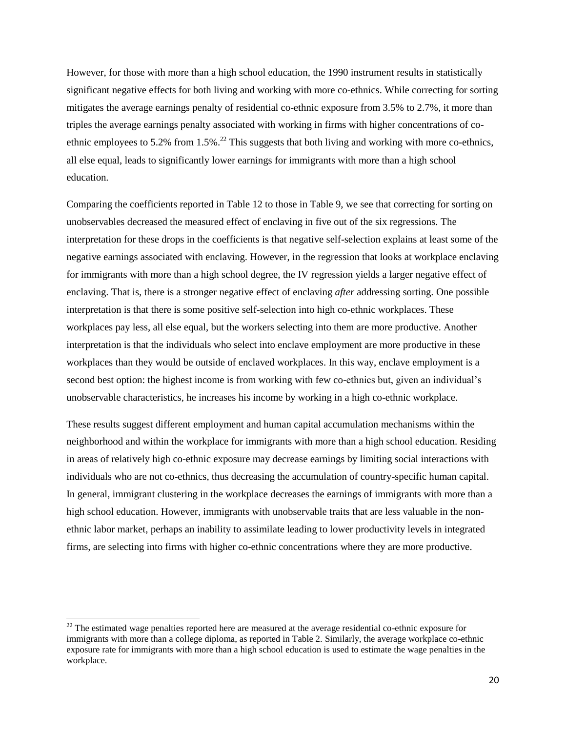However, for those with more than a high school education, the 1990 instrument results in statistically significant negative effects for both living and working with more co-ethnics. While correcting for sorting mitigates the average earnings penalty of residential co-ethnic exposure from 3.5% to 2.7%, it more than triples the average earnings penalty associated with working in firms with higher concentrations of coethnic employees to 5.2% from  $1.5\%$ .<sup>22</sup> This suggests that both living and working with more co-ethnics, all else equal, leads to significantly lower earnings for immigrants with more than a high school education.

Comparing the coefficients reported in Table 12 to those in Table 9, we see that correcting for sorting on unobservables decreased the measured effect of enclaving in five out of the six regressions. The interpretation for these drops in the coefficients is that negative self-selection explains at least some of the negative earnings associated with enclaving. However, in the regression that looks at workplace enclaving for immigrants with more than a high school degree, the IV regression yields a larger negative effect of enclaving. That is, there is a stronger negative effect of enclaving *after* addressing sorting. One possible interpretation is that there is some positive self-selection into high co-ethnic workplaces. These workplaces pay less, all else equal, but the workers selecting into them are more productive. Another interpretation is that the individuals who select into enclave employment are more productive in these workplaces than they would be outside of enclaved workplaces. In this way, enclave employment is a second best option: the highest income is from working with few co-ethnics but, given an individual's unobservable characteristics, he increases his income by working in a high co-ethnic workplace.

These results suggest different employment and human capital accumulation mechanisms within the neighborhood and within the workplace for immigrants with more than a high school education. Residing in areas of relatively high co-ethnic exposure may decrease earnings by limiting social interactions with individuals who are not co-ethnics, thus decreasing the accumulation of country-specific human capital. In general, immigrant clustering in the workplace decreases the earnings of immigrants with more than a high school education. However, immigrants with unobservable traits that are less valuable in the nonethnic labor market, perhaps an inability to assimilate leading to lower productivity levels in integrated firms, are selecting into firms with higher co-ethnic concentrations where they are more productive.

 $\overline{\phantom{a}}$ 

 $22$  The estimated wage penalties reported here are measured at the average residential co-ethnic exposure for immigrants with more than a college diploma, as reported in Table 2. Similarly, the average workplace co-ethnic exposure rate for immigrants with more than a high school education is used to estimate the wage penalties in the workplace.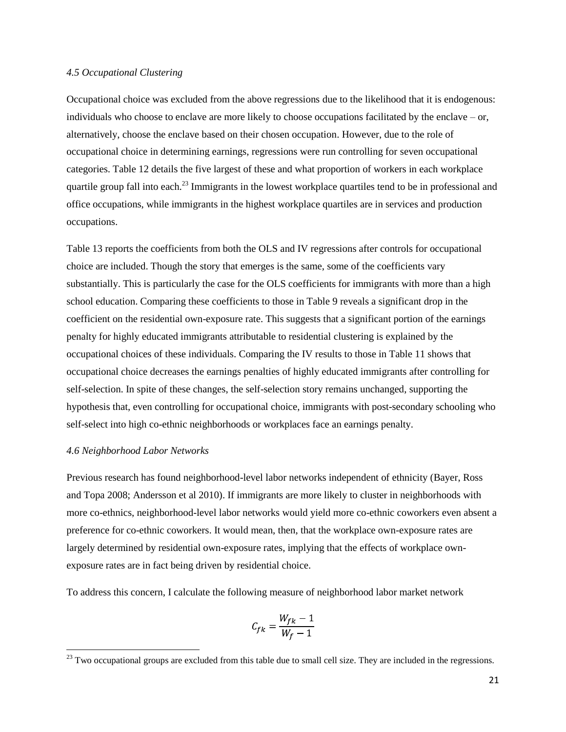### *4.5 Occupational Clustering*

Occupational choice was excluded from the above regressions due to the likelihood that it is endogenous: individuals who choose to enclave are more likely to choose occupations facilitated by the enclave – or, alternatively, choose the enclave based on their chosen occupation. However, due to the role of occupational choice in determining earnings, regressions were run controlling for seven occupational categories. Table 12 details the five largest of these and what proportion of workers in each workplace quartile group fall into each.<sup>23</sup> Immigrants in the lowest workplace quartiles tend to be in professional and office occupations, while immigrants in the highest workplace quartiles are in services and production occupations.

Table 13 reports the coefficients from both the OLS and IV regressions after controls for occupational choice are included. Though the story that emerges is the same, some of the coefficients vary substantially. This is particularly the case for the OLS coefficients for immigrants with more than a high school education. Comparing these coefficients to those in Table 9 reveals a significant drop in the coefficient on the residential own-exposure rate. This suggests that a significant portion of the earnings penalty for highly educated immigrants attributable to residential clustering is explained by the occupational choices of these individuals. Comparing the IV results to those in Table 11 shows that occupational choice decreases the earnings penalties of highly educated immigrants after controlling for self-selection. In spite of these changes, the self-selection story remains unchanged, supporting the hypothesis that, even controlling for occupational choice, immigrants with post-secondary schooling who self-select into high co-ethnic neighborhoods or workplaces face an earnings penalty.

#### *4.6 Neighborhood Labor Networks*

 $\overline{\phantom{a}}$ 

Previous research has found neighborhood-level labor networks independent of ethnicity (Bayer, Ross and Topa 2008; Andersson et al 2010). If immigrants are more likely to cluster in neighborhoods with more co-ethnics, neighborhood-level labor networks would yield more co-ethnic coworkers even absent a preference for co-ethnic coworkers. It would mean, then, that the workplace own-exposure rates are largely determined by residential own-exposure rates, implying that the effects of workplace ownexposure rates are in fact being driven by residential choice.

To address this concern, I calculate the following measure of neighborhood labor market network

$$
C_{fk} = \frac{W_{fk} - 1}{W_f - 1}
$$

 $23$  Two occupational groups are excluded from this table due to small cell size. They are included in the regressions.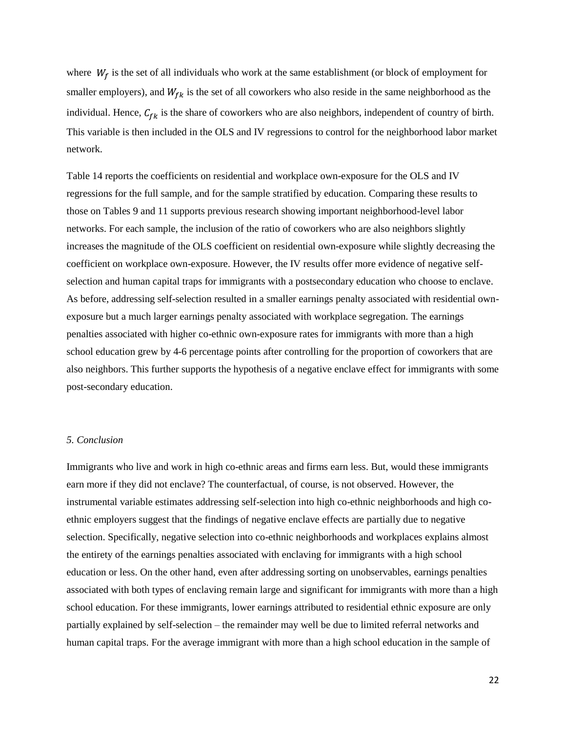where  $W_f$  is the set of all individuals who work at the same establishment (or block of employment for smaller employers), and  $W_{fk}$  is the set of all coworkers who also reside in the same neighborhood as the individual. Hence,  $C_{fk}$  is the share of coworkers who are also neighbors, independent of country of birth. This variable is then included in the OLS and IV regressions to control for the neighborhood labor market network.

Table 14 reports the coefficients on residential and workplace own-exposure for the OLS and IV regressions for the full sample, and for the sample stratified by education. Comparing these results to those on Tables 9 and 11 supports previous research showing important neighborhood-level labor networks. For each sample, the inclusion of the ratio of coworkers who are also neighbors slightly increases the magnitude of the OLS coefficient on residential own-exposure while slightly decreasing the coefficient on workplace own-exposure. However, the IV results offer more evidence of negative selfselection and human capital traps for immigrants with a postsecondary education who choose to enclave. As before, addressing self-selection resulted in a smaller earnings penalty associated with residential ownexposure but a much larger earnings penalty associated with workplace segregation. The earnings penalties associated with higher co-ethnic own-exposure rates for immigrants with more than a high school education grew by 4-6 percentage points after controlling for the proportion of coworkers that are also neighbors. This further supports the hypothesis of a negative enclave effect for immigrants with some post-secondary education.

### *5. Conclusion*

Immigrants who live and work in high co-ethnic areas and firms earn less. But, would these immigrants earn more if they did not enclave? The counterfactual, of course, is not observed. However, the instrumental variable estimates addressing self-selection into high co-ethnic neighborhoods and high coethnic employers suggest that the findings of negative enclave effects are partially due to negative selection. Specifically, negative selection into co-ethnic neighborhoods and workplaces explains almost the entirety of the earnings penalties associated with enclaving for immigrants with a high school education or less. On the other hand, even after addressing sorting on unobservables, earnings penalties associated with both types of enclaving remain large and significant for immigrants with more than a high school education. For these immigrants, lower earnings attributed to residential ethnic exposure are only partially explained by self-selection – the remainder may well be due to limited referral networks and human capital traps. For the average immigrant with more than a high school education in the sample of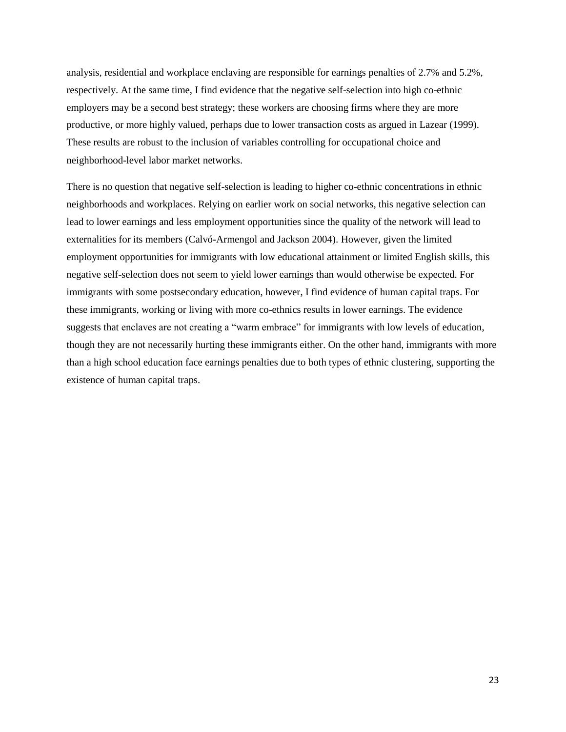analysis, residential and workplace enclaving are responsible for earnings penalties of 2.7% and 5.2%, respectively. At the same time, I find evidence that the negative self-selection into high co-ethnic employers may be a second best strategy; these workers are choosing firms where they are more productive, or more highly valued, perhaps due to lower transaction costs as argued in Lazear (1999). These results are robust to the inclusion of variables controlling for occupational choice and neighborhood-level labor market networks.

There is no question that negative self-selection is leading to higher co-ethnic concentrations in ethnic neighborhoods and workplaces. Relying on earlier work on social networks, this negative selection can lead to lower earnings and less employment opportunities since the quality of the network will lead to externalities for its members (Calvó-Armengol and Jackson 2004). However, given the limited employment opportunities for immigrants with low educational attainment or limited English skills, this negative self-selection does not seem to yield lower earnings than would otherwise be expected. For immigrants with some postsecondary education, however, I find evidence of human capital traps. For these immigrants, working or living with more co-ethnics results in lower earnings. The evidence suggests that enclaves are not creating a "warm embrace" for immigrants with low levels of education, though they are not necessarily hurting these immigrants either. On the other hand, immigrants with more than a high school education face earnings penalties due to both types of ethnic clustering, supporting the existence of human capital traps.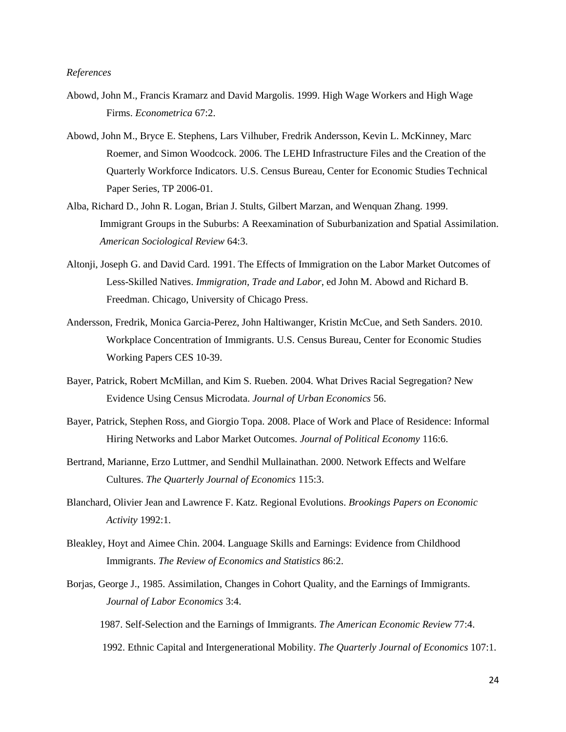- Abowd, John M., Francis Kramarz and David Margolis. 1999. High Wage Workers and High Wage Firms. *Econometrica* 67:2.
- Abowd, John M., Bryce E. Stephens, Lars Vilhuber, Fredrik Andersson, Kevin L. McKinney, Marc Roemer, and Simon Woodcock. 2006. The LEHD Infrastructure Files and the Creation of the Quarterly Workforce Indicators. U.S. Census Bureau, Center for Economic Studies Technical Paper Series, TP 2006-01.
- Alba, Richard D., John R. Logan, Brian J. Stults, Gilbert Marzan, and Wenquan Zhang. 1999. Immigrant Groups in the Suburbs: A Reexamination of Suburbanization and Spatial Assimilation. *American Sociological Review* 64:3.
- Altonji, Joseph G. and David Card. 1991. The Effects of Immigration on the Labor Market Outcomes of Less-Skilled Natives. *Immigration, Trade and Labor*, ed John M. Abowd and Richard B. Freedman. Chicago, University of Chicago Press.
- Andersson, Fredrik, Monica Garcia-Perez, John Haltiwanger, Kristin McCue, and Seth Sanders. 2010. Workplace Concentration of Immigrants. U.S. Census Bureau, Center for Economic Studies Working Papers CES 10-39.
- Bayer, Patrick, Robert McMillan, and Kim S. Rueben. 2004. What Drives Racial Segregation? New Evidence Using Census Microdata. *Journal of Urban Economics* 56.
- Bayer, Patrick, Stephen Ross, and Giorgio Topa. 2008. Place of Work and Place of Residence: Informal Hiring Networks and Labor Market Outcomes. *Journal of Political Economy* 116:6.
- Bertrand, Marianne, Erzo Luttmer, and Sendhil Mullainathan. 2000. Network Effects and Welfare Cultures. *The Quarterly Journal of Economics* 115:3.
- Blanchard, Olivier Jean and Lawrence F. Katz. Regional Evolutions. *Brookings Papers on Economic Activity* 1992:1.
- Bleakley, Hoyt and Aimee Chin. 2004. Language Skills and Earnings: Evidence from Childhood Immigrants. *The Review of Economics and Statistics* 86:2.
- Borjas, George J., 1985. Assimilation, Changes in Cohort Quality, and the Earnings of Immigrants. *Journal of Labor Economics* 3:4.
	- 1987. Self-Selection and the Earnings of Immigrants. *The American Economic Review* 77:4.
	- 1992. Ethnic Capital and Intergenerational Mobility. *The Quarterly Journal of Economics* 107:1.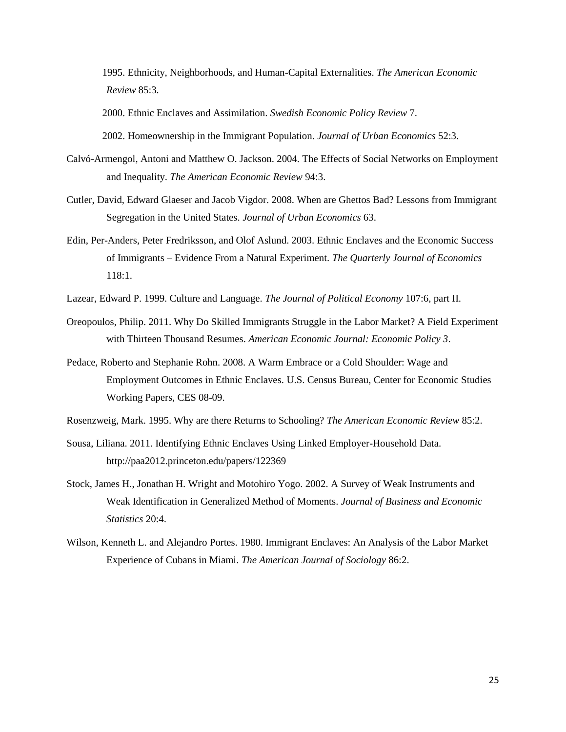1995. Ethnicity, Neighborhoods, and Human-Capital Externalities. *The American Economic Review* 85:3.

2000. Ethnic Enclaves and Assimilation. *Swedish Economic Policy Review* 7.

2002. Homeownership in the Immigrant Population. *Journal of Urban Economics* 52:3.

- Calvó-Armengol, Antoni and Matthew O. Jackson. 2004. The Effects of Social Networks on Employment and Inequality. *The American Economic Review* 94:3.
- Cutler, David, Edward Glaeser and Jacob Vigdor. 2008. When are Ghettos Bad? Lessons from Immigrant Segregation in the United States. *Journal of Urban Economics* 63.
- Edin, Per-Anders, Peter Fredriksson, and Olof Aslund. 2003. Ethnic Enclaves and the Economic Success of Immigrants – Evidence From a Natural Experiment. *The Quarterly Journal of Economics* 118:1.
- Lazear, Edward P. 1999. Culture and Language. *The Journal of Political Economy* 107:6, part II.
- Oreopoulos, Philip. 2011. Why Do Skilled Immigrants Struggle in the Labor Market? A Field Experiment with Thirteen Thousand Resumes. *American Economic Journal: Economic Policy 3*.
- Pedace, Roberto and Stephanie Rohn. 2008. A Warm Embrace or a Cold Shoulder: Wage and Employment Outcomes in Ethnic Enclaves. U.S. Census Bureau, Center for Economic Studies Working Papers, CES 08-09.

Rosenzweig, Mark. 1995. Why are there Returns to Schooling? *The American Economic Review* 85:2.

- Sousa, Liliana. 2011. Identifying Ethnic Enclaves Using Linked Employer-Household Data. http://paa2012.princeton.edu/papers/122369
- Stock, James H., Jonathan H. Wright and Motohiro Yogo. 2002. A Survey of Weak Instruments and Weak Identification in Generalized Method of Moments. *Journal of Business and Economic Statistics* 20:4.
- Wilson, Kenneth L. and Alejandro Portes. 1980. Immigrant Enclaves: An Analysis of the Labor Market Experience of Cubans in Miami. *The American Journal of Sociology* 86:2.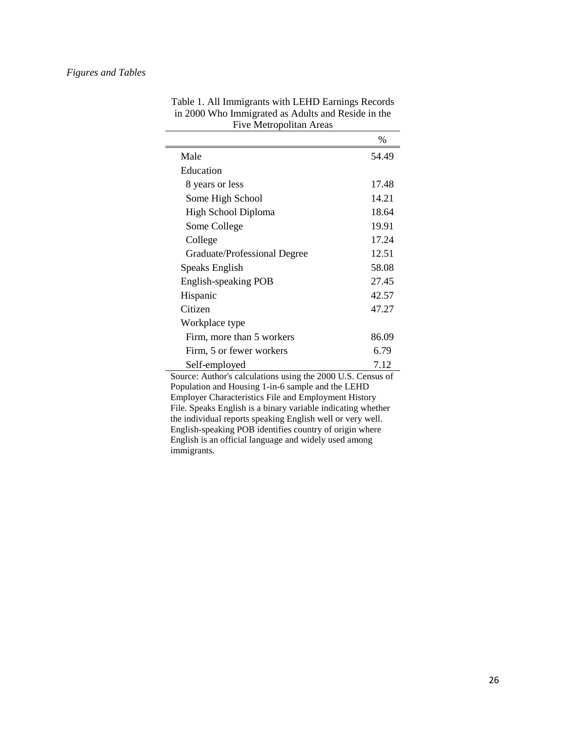# *Figures and Tables*

 $\equiv$ 

| 1110 Med opontan's neas                                     |       |
|-------------------------------------------------------------|-------|
|                                                             | $\%$  |
| Male                                                        | 54.49 |
| Education                                                   |       |
| 8 years or less                                             | 17.48 |
| Some High School                                            | 14.21 |
| High School Diploma                                         | 18.64 |
| Some College                                                | 19.91 |
| College                                                     | 17.24 |
| Graduate/Professional Degree                                | 12.51 |
| Speaks English                                              | 58.08 |
| English-speaking POB                                        | 27.45 |
| Hispanic                                                    | 42.57 |
| Citizen                                                     | 47.27 |
| Workplace type                                              |       |
| Firm, more than 5 workers                                   | 86.09 |
| Firm, 5 or fewer workers                                    | 6.79  |
| Self-employed                                               | 7.12  |
| Source: Author's calculations using the 2000 U.S. Census of |       |

Table 1. All Immigrants with LEHD Earnings Records in 2000 Who Immigrated as Adults and Reside in the Five Metropolitan Areas

Source: Author's calculations using the 2000 U.S. Census of Population and Housing 1-in-6 sample and the LEHD Employer Characteristics File and Employment History File. Speaks English is a binary variable indicating whether the individual reports speaking English well or very well. English-speaking POB identifies country of origin where English is an official language and widely used among immigrants.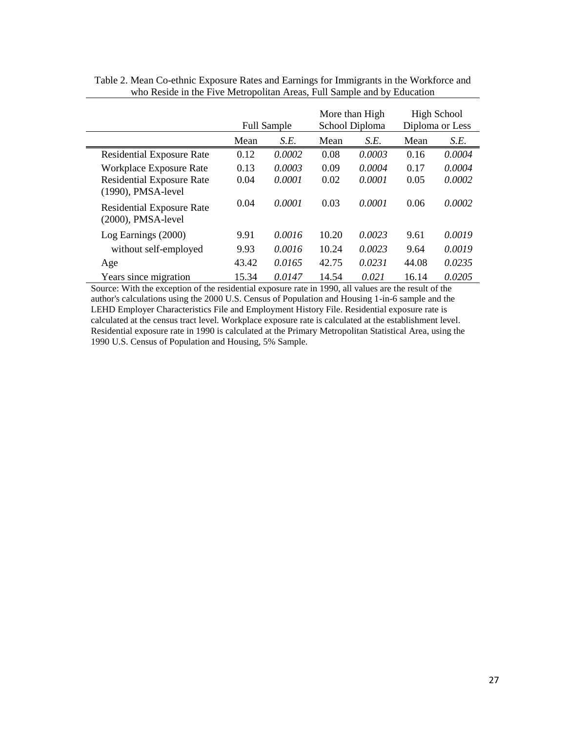|                                                           | <b>Full Sample</b> |        | More than High<br>School Diploma |        | <b>High School</b><br>Diploma or Less |        |
|-----------------------------------------------------------|--------------------|--------|----------------------------------|--------|---------------------------------------|--------|
|                                                           | Mean               | S.E.   | Mean                             | S.E.   | Mean                                  | S.E.   |
| <b>Residential Exposure Rate</b>                          | 0.12               | 0.0002 | 0.08                             | 0.0003 | 0.16                                  | 0.0004 |
| <b>Workplace Exposure Rate</b>                            | 0.13               | 0.0003 | 0.09                             | 0.0004 | 0.17                                  | 0.0004 |
| <b>Residential Exposure Rate</b><br>$(1990)$ , PMSA-level | 0.04               | 0.0001 | 0.02                             | 0.0001 | 0.05                                  | 0.0002 |
| <b>Residential Exposure Rate</b><br>$(2000)$ , PMSA-level | 0.04               | 0.0001 | 0.03                             | 0.0001 | 0.06                                  | 0.0002 |
| Log Earnings (2000)                                       | 9.91               | 0.0016 | 10.20                            | 0.0023 | 9.61                                  | 0.0019 |
| without self-employed                                     | 9.93               | 0.0016 | 10.24                            | 0.0023 | 9.64                                  | 0.0019 |
| Age                                                       | 43.42              | 0.0165 | 42.75                            | 0.0231 | 44.08                                 | 0.0235 |
| Years since migration                                     | 15.34              | 0.0147 | 14.54                            | 0.021  | 16.14                                 | 0.0205 |

| Table 2. Mean Co-ethnic Exposure Rates and Earnings for Immigrants in the Workforce and |  |
|-----------------------------------------------------------------------------------------|--|
| who Reside in the Five Metropolitan Areas, Full Sample and by Education                 |  |

Source: With the exception of the residential exposure rate in 1990, all values are the result of the author's calculations using the 2000 U.S. Census of Population and Housing 1-in-6 sample and the LEHD Employer Characteristics File and Employment History File. Residential exposure rate is calculated at the census tract level. Workplace exposure rate is calculated at the establishment level. Residential exposure rate in 1990 is calculated at the Primary Metropolitan Statistical Area, using the 1990 U.S. Census of Population and Housing, 5% Sample.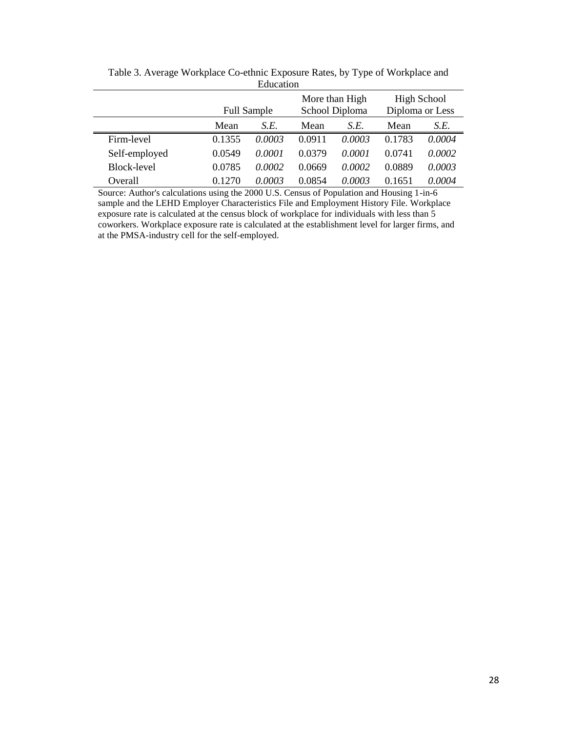|                | <b>Full Sample</b> |        | More than High<br>School Diploma |        | <b>High School</b><br>Diploma or Less |        |
|----------------|--------------------|--------|----------------------------------|--------|---------------------------------------|--------|
|                | Mean               | S.E.   | Mean                             | S.E.   | Mean                                  | S.E.   |
| Firm-level     | 0.1355             | 0.0003 | 0.0911                           | 0.0003 | 0.1783                                | 0.0004 |
| Self-employed  | 0.0549             | 0.0001 | 0.0379                           | 0.0001 | 0.0741                                | 0.0002 |
| Block-level    | 0.0785             | 0.0002 | 0.0669                           | 0.0002 | 0.0889                                | 0.0003 |
| <b>Overall</b> | 0.1270             | 0.0003 | 0.0854                           | 0.0003 | 0.1651                                | 0.0004 |

Table 3. Average Workplace Co-ethnic Exposure Rates, by Type of Workplace and Education

Source: Author's calculations using the 2000 U.S. Census of Population and Housing 1-in-6 sample and the LEHD Employer Characteristics File and Employment History File. Workplace exposure rate is calculated at the census block of workplace for individuals with less than 5 coworkers. Workplace exposure rate is calculated at the establishment level for larger firms, and at the PMSA-industry cell for the self-employed.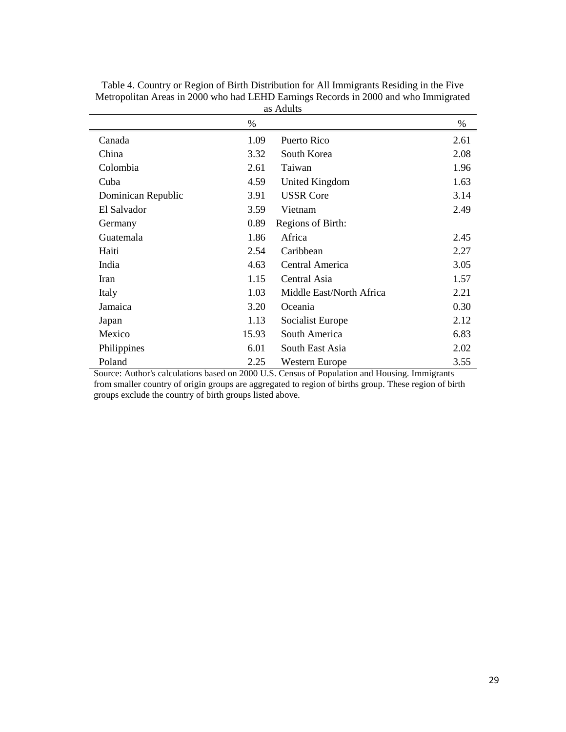|                    |       | as Auuns                 |      |
|--------------------|-------|--------------------------|------|
|                    | $\%$  |                          | $\%$ |
| Canada             | 1.09  | Puerto Rico              | 2.61 |
| China              | 3.32  | South Korea              | 2.08 |
| Colombia           | 2.61  | Taiwan                   | 1.96 |
| Cuba               | 4.59  | <b>United Kingdom</b>    | 1.63 |
| Dominican Republic | 3.91  | <b>USSR Core</b>         | 3.14 |
| El Salvador        | 3.59  | Vietnam                  | 2.49 |
| Germany            | 0.89  | Regions of Birth:        |      |
| Guatemala          | 1.86  | Africa                   | 2.45 |
| Haiti              | 2.54  | Caribbean                | 2.27 |
| India              | 4.63  | Central America          | 3.05 |
| Iran               | 1.15  | Central Asia             | 1.57 |
| Italy              | 1.03  | Middle East/North Africa | 2.21 |
| Jamaica            | 3.20  | Oceania                  | 0.30 |
| Japan              | 1.13  | Socialist Europe         | 2.12 |
| Mexico             | 15.93 | South America            | 6.83 |
| Philippines        | 6.01  | South East Asia          | 2.02 |
| Poland             | 2.25  | Western Europe           | 3.55 |

Table 4. Country or Region of Birth Distribution for All Immigrants Residing in the Five Metropolitan Areas in 2000 who had LEHD Earnings Records in 2000 and who Immigrated as Adults

Source: Author's calculations based on 2000 U.S. Census of Population and Housing. Immigrants from smaller country of origin groups are aggregated to region of births group. These region of birth groups exclude the country of birth groups listed above.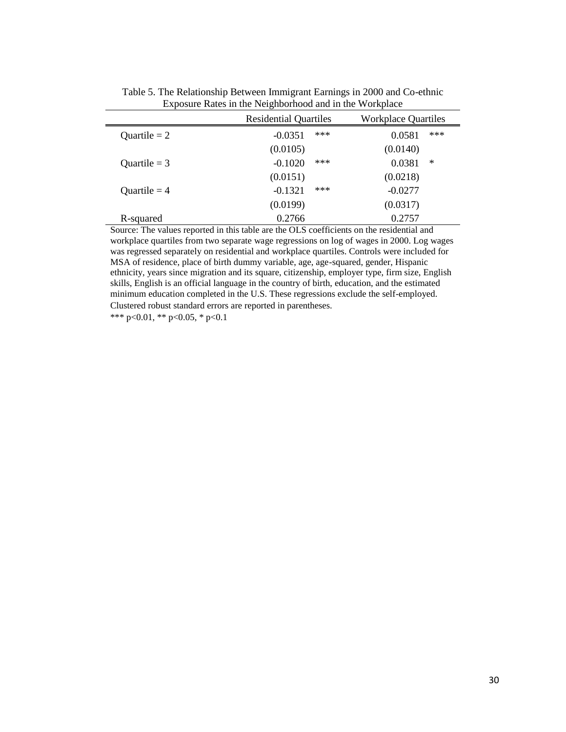|                | <b>Residential Quartiles</b> | <b>Workplace Quartiles</b> |
|----------------|------------------------------|----------------------------|
| Quartile $= 2$ | ***<br>$-0.0351$             | ***<br>0.0581              |
|                | (0.0105)                     | (0.0140)                   |
| Quartile = $3$ | ***<br>$-0.1020$             | $\ast$<br>0.0381           |
|                | (0.0151)                     | (0.0218)                   |
| Quartile = $4$ | ***<br>$-0.1321$             | $-0.0277$                  |
|                | (0.0199)                     | (0.0317)                   |
| R-squared      | 0.2766                       | 0.2757                     |

Table 5. The Relationship Between Immigrant Earnings in 2000 and Co-ethnic Exposure Rates in the Neighborhood and in the Workplace

Source: The values reported in this table are the OLS coefficients on the residential and workplace quartiles from two separate wage regressions on log of wages in 2000. Log wages was regressed separately on residential and workplace quartiles. Controls were included for MSA of residence, place of birth dummy variable, age, age-squared, gender, Hispanic ethnicity, years since migration and its square, citizenship, employer type, firm size, English skills, English is an official language in the country of birth, education, and the estimated minimum education completed in the U.S. These regressions exclude the self-employed. Clustered robust standard errors are reported in parentheses.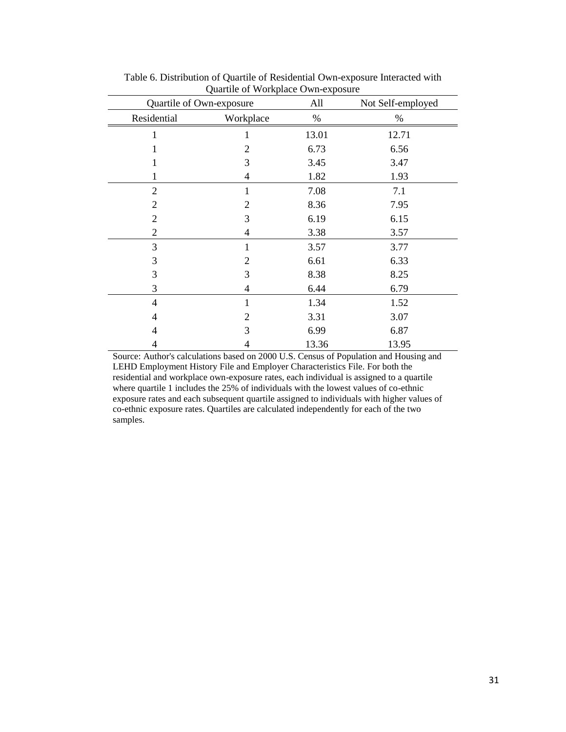| Quartile of Own-exposure |           | All   | Not Self-employed |
|--------------------------|-----------|-------|-------------------|
| Residential              | Workplace | $\%$  | $\%$              |
| 1                        |           | 13.01 | 12.71             |
|                          | 2         | 6.73  | 6.56              |
| 1                        | 3         | 3.45  | 3.47              |
| 1                        | 4         | 1.82  | 1.93              |
| $\overline{2}$           | 1         | 7.08  | 7.1               |
| 2                        | 2         | 8.36  | 7.95              |
| 2                        | 3         | 6.19  | 6.15              |
| 2                        | 4         | 3.38  | 3.57              |
| 3                        | 1         | 3.57  | 3.77              |
| 3                        | 2         | 6.61  | 6.33              |
| 3                        | 3         | 8.38  | 8.25              |
| 3                        | 4         | 6.44  | 6.79              |
| 4                        |           | 1.34  | 1.52              |
| 4                        | 2         | 3.31  | 3.07              |
| 4                        | 3         | 6.99  | 6.87              |
| 4                        | 4         | 13.36 | 13.95             |

Table 6. Distribution of Quartile of Residential Own-exposure Interacted with Quartile of Workplace Own-exposure

Source: Author's calculations based on 2000 U.S. Census of Population and Housing and LEHD Employment History File and Employer Characteristics File. For both the residential and workplace own-exposure rates, each individual is assigned to a quartile where quartile 1 includes the 25% of individuals with the lowest values of co-ethnic exposure rates and each subsequent quartile assigned to individuals with higher values of co-ethnic exposure rates. Quartiles are calculated independently for each of the two samples.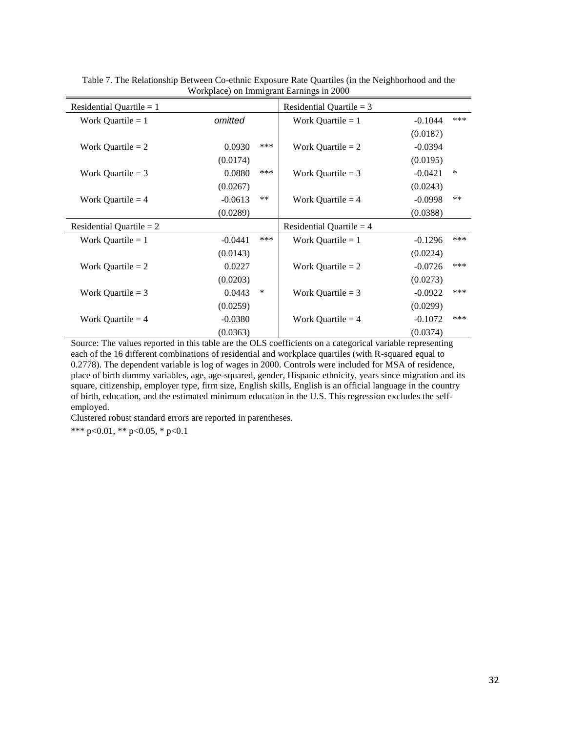| Residential Quartile = $1$ |           |       | Residential Quartile = $3$ |           |     |
|----------------------------|-----------|-------|----------------------------|-----------|-----|
| Work Quartile $= 1$        | omitted   |       | Work Quartile $= 1$        | $-0.1044$ | *** |
|                            |           |       |                            | (0.0187)  |     |
| Work Quartile $= 2$        | 0.0930    | ***   | Work Quartile $= 2$        | $-0.0394$ |     |
|                            | (0.0174)  |       |                            | (0.0195)  |     |
| Work Quartile $=$ 3        | 0.0880    | ***   | Work Quartile $=$ 3        | $-0.0421$ | ∗   |
|                            | (0.0267)  |       |                            | (0.0243)  |     |
| Work Quartile $=$ 4        | $-0.0613$ | $***$ | Work Quartile $=$ 4        | $-0.0998$ | **  |
|                            | (0.0289)  |       |                            | (0.0388)  |     |
| Residential Quartile = $2$ |           |       | Residential Quartile $=$ 4 |           |     |
| Work Quartile $= 1$        | $-0.0441$ | ***   | Work Quartile $= 1$        | $-0.1296$ | *** |
|                            | (0.0143)  |       |                            | (0.0224)  |     |
| Work Ouartile $= 2$        | 0.0227    |       | Work Ouartile $= 2$        | $-0.0726$ | *** |
|                            | (0.0203)  |       |                            | (0.0273)  |     |
| Work Quartile $=$ 3        | 0.0443    | ∗     | Work Quartile $=$ 3        | $-0.0922$ | *** |
|                            | (0.0259)  |       |                            | (0.0299)  |     |
| Work Quartile $=$ 4        | $-0.0380$ |       | Work Quartile $=$ 4        | $-0.1072$ | *** |
|                            | (0.0363)  |       |                            | (0.0374)  |     |

Table 7. The Relationship Between Co-ethnic Exposure Rate Quartiles (in the Neighborhood and the Workplace) on Immigrant Earnings in 2000

Source: The values reported in this table are the OLS coefficients on a categorical variable representing each of the 16 different combinations of residential and workplace quartiles (with R-squared equal to 0.2778). The dependent variable is log of wages in 2000. Controls were included for MSA of residence, place of birth dummy variables, age, age-squared, gender, Hispanic ethnicity, years since migration and its square, citizenship, employer type, firm size, English skills, English is an official language in the country of birth, education, and the estimated minimum education in the U.S. This regression excludes the selfemployed.

Clustered robust standard errors are reported in parentheses.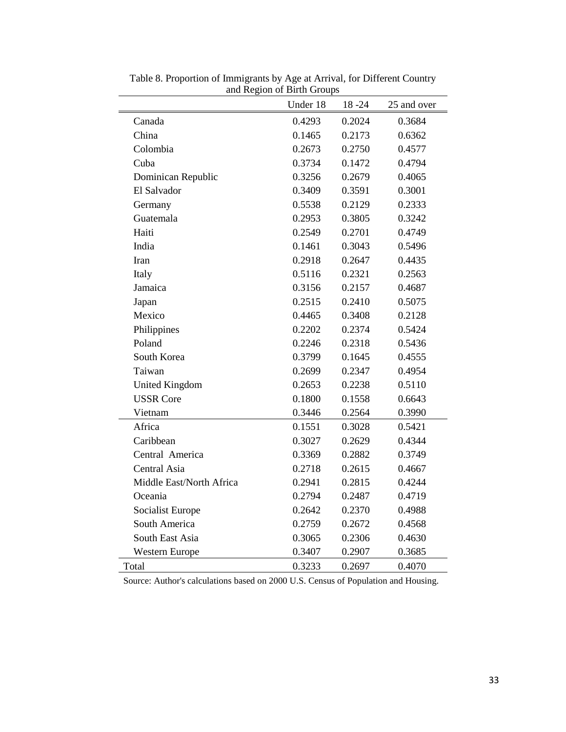|                          | and <i>Kegiun</i> of Difth Groups |           |             |
|--------------------------|-----------------------------------|-----------|-------------|
|                          | Under 18                          | $18 - 24$ | 25 and over |
| Canada                   | 0.4293                            | 0.2024    | 0.3684      |
| China                    | 0.1465                            | 0.2173    | 0.6362      |
| Colombia                 | 0.2673                            | 0.2750    | 0.4577      |
| Cuba                     | 0.3734                            | 0.1472    | 0.4794      |
| Dominican Republic       | 0.3256                            | 0.2679    | 0.4065      |
| El Salvador              | 0.3409                            | 0.3591    | 0.3001      |
| Germany                  | 0.5538                            | 0.2129    | 0.2333      |
| Guatemala                | 0.2953                            | 0.3805    | 0.3242      |
| Haiti                    | 0.2549                            | 0.2701    | 0.4749      |
| India                    | 0.1461                            | 0.3043    | 0.5496      |
| Iran                     | 0.2918                            | 0.2647    | 0.4435      |
| Italy                    | 0.5116                            | 0.2321    | 0.2563      |
| Jamaica                  | 0.3156                            | 0.2157    | 0.4687      |
| Japan                    | 0.2515                            | 0.2410    | 0.5075      |
| Mexico                   | 0.4465                            | 0.3408    | 0.2128      |
| Philippines              | 0.2202                            | 0.2374    | 0.5424      |
| Poland                   | 0.2246                            | 0.2318    | 0.5436      |
| South Korea              | 0.3799                            | 0.1645    | 0.4555      |
| Taiwan                   | 0.2699                            | 0.2347    | 0.4954      |
| <b>United Kingdom</b>    | 0.2653                            | 0.2238    | 0.5110      |
| <b>USSR Core</b>         | 0.1800                            | 0.1558    | 0.6643      |
| Vietnam                  | 0.3446                            | 0.2564    | 0.3990      |
| Africa                   | 0.1551                            | 0.3028    | 0.5421      |
| Caribbean                | 0.3027                            | 0.2629    | 0.4344      |
| Central America          | 0.3369                            | 0.2882    | 0.3749      |
| Central Asia             | 0.2718                            | 0.2615    | 0.4667      |
| Middle East/North Africa | 0.2941                            | 0.2815    | 0.4244      |
| Oceania                  | 0.2794                            | 0.2487    | 0.4719      |
| Socialist Europe         | 0.2642                            | 0.2370    | 0.4988      |
| South America            | 0.2759                            | 0.2672    | 0.4568      |
| South East Asia          | 0.3065                            | 0.2306    | 0.4630      |
| <b>Western Europe</b>    | 0.3407                            | 0.2907    | 0.3685      |
| Total                    | 0.3233                            | 0.2697    | 0.4070      |

Table 8. Proportion of Immigrants by Age at Arrival, for Different Country and Region of Birth Groups

Source: Author's calculations based on 2000 U.S. Census of Population and Housing.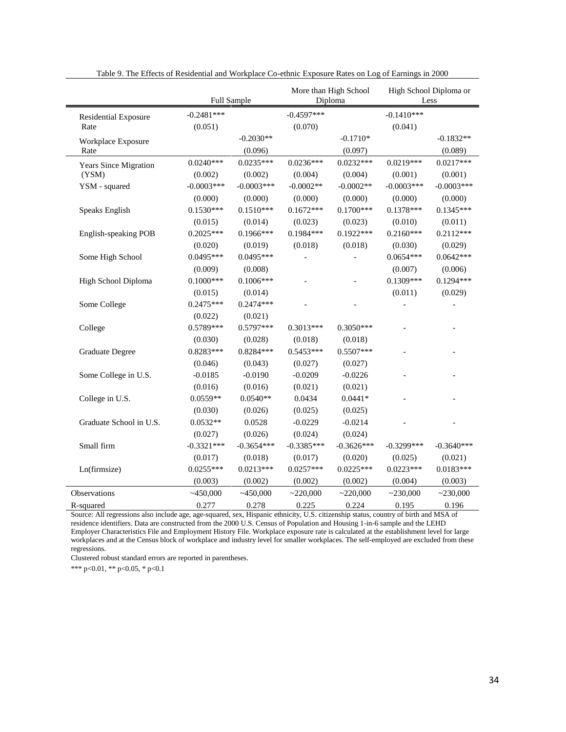|                             |              | Full Sample  |              | More than High School<br>Diploma |              | High School Diploma or<br>Less |
|-----------------------------|--------------|--------------|--------------|----------------------------------|--------------|--------------------------------|
| <b>Residential Exposure</b> | $-0.2481***$ |              | $-0.4597***$ |                                  | $-0.1410***$ |                                |
| Rate                        | (0.051)      |              | (0.070)      |                                  | (0.041)      |                                |
| Workplace Exposure          |              | $-0.2030**$  |              | $-0.1710*$                       |              | $-0.1832**$                    |
| Rate                        |              | (0.096)      |              | (0.097)                          |              | (0.089)                        |
| Years Since Migration       | $0.0240***$  | $0.0235***$  | $0.0236***$  | $0.0232***$                      | $0.0219***$  | $0.0217***$                    |
| (YSM)                       | (0.002)      | (0.002)      | (0.004)      | (0.004)                          | (0.001)      | (0.001)                        |
| YSM - squared               | $-0.0003***$ | $-0.0003***$ | $-0.0002**$  | $-0.0002**$                      | $-0.0003***$ | $-0.0003***$                   |
|                             | (0.000)      | (0.000)      | (0.000)      | (0.000)                          | (0.000)      | (0.000)                        |
| Speaks English              | $0.1530***$  | $0.1510***$  | $0.1672***$  | $0.1700***$                      | $0.1378***$  | $0.1345***$                    |
|                             | (0.015)      | (0.014)      | (0.023)      | (0.023)                          | (0.010)      | (0.011)                        |
| English-speaking POB        | $0.2025***$  | 0.1966***    | 0.1984 ***   | $0.1922***$                      | $0.2160***$  | $0.2112***$                    |
|                             | (0.020)      | (0.019)      | (0.018)      | (0.018)                          | (0.030)      | (0.029)                        |
| Some High School            | $0.0495***$  | $0.0495***$  |              |                                  | $0.0654***$  | $0.0642***$                    |
|                             | (0.009)      | (0.008)      |              |                                  | (0.007)      | (0.006)                        |
| High School Diploma         | $0.1000***$  | $0.1006***$  |              |                                  | $0.1309***$  | $0.1294***$                    |
|                             | (0.015)      | (0.014)      |              |                                  | (0.011)      | (0.029)                        |
| Some College                | $0.2475***$  | $0.2474***$  |              |                                  |              |                                |
|                             | (0.022)      | (0.021)      |              |                                  |              |                                |
| College                     | $0.5789***$  | $0.5797***$  | $0.3013***$  | $0.3050***$                      |              |                                |
|                             | (0.030)      | (0.028)      | (0.018)      | (0.018)                          |              |                                |
| <b>Graduate Degree</b>      | $0.8283***$  | $0.8284***$  | 0.5453***    | $0.5507***$                      |              |                                |
|                             | (0.046)      | (0.043)      | (0.027)      | (0.027)                          |              |                                |
| Some College in U.S.        | $-0.0185$    | $-0.0190$    | $-0.0209$    | $-0.0226$                        |              |                                |
|                             | (0.016)      | (0.016)      | (0.021)      | (0.021)                          |              |                                |
| College in U.S.             | $0.0559**$   | $0.0540**$   | 0.0434       | $0.0441*$                        |              |                                |
|                             | (0.030)      | (0.026)      | (0.025)      | (0.025)                          |              |                                |
| Graduate School in U.S.     | $0.0532**$   | 0.0528       | $-0.0229$    | $-0.0214$                        |              |                                |
|                             | (0.027)      | (0.026)      | (0.024)      | (0.024)                          |              |                                |
| Small firm                  | $-0.3321***$ | $-0.3654***$ | $-0.3385***$ | $-0.3626***$                     | $-0.3299***$ | $-0.3640***$                   |
|                             | (0.017)      | (0.018)      | (0.017)      | (0.020)                          | (0.025)      | (0.021)                        |
| Ln(firmsize)                | $0.0255***$  | $0.0213***$  | $0.0257***$  | $0.0225***$                      | $0.0223***$  | $0.0183***$                    |
|                             | (0.003)      | (0.002)      | (0.002)      | (0.002)                          | (0.004)      | (0.003)                        |
| Observations                | ~1450,000    | ~1450,000    | ~220,000     | ~220,000                         | ~230,000     | ~230,000                       |
| R-squared                   | 0.277        | 0.278        | 0.225        | 0.224                            | 0.195        | 0.196                          |

Table 9. The Effects of Residential and Workplace Co-ethnic Exposure Rates on Log of Earnings in 2000

Source: All regressions also include age, age-squared, sex, Hispanic ethnicity, U.S. citizenship status, country of birth and MSA of residence identifiers. Data are constructed from the 2000 U.S. Census of Population and Housing 1-in-6 sample and the LEHD Employer Characteristics File and Employment History File. Workplace exposure rate is calculated at the establishment level for large workplaces and at the Census block of workplace and industry level for smaller workplaces. The self-employed are excluded from these regressions.

Clustered robust standard errors are reported in parentheses.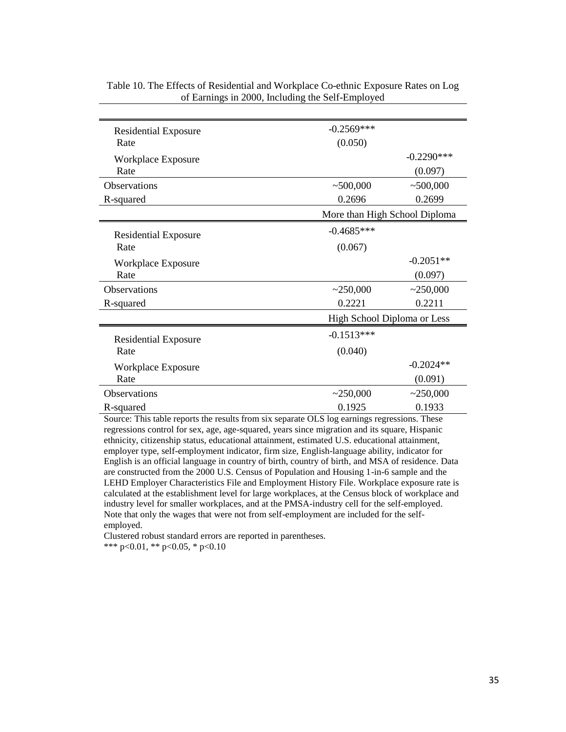| <b>Residential Exposure</b> | $-0.2569***$                  |              |
|-----------------------------|-------------------------------|--------------|
| Rate                        | (0.050)                       |              |
| Workplace Exposure          |                               | $-0.2290***$ |
| Rate                        |                               | (0.097)      |
| <b>Observations</b>         | ~100,000                      | ~100,000     |
| R-squared                   | 0.2696                        | 0.2699       |
|                             | More than High School Diploma |              |
| <b>Residential Exposure</b> | $-0.4685***$                  |              |
| Rate                        | (0.067)                       |              |
| Workplace Exposure          |                               | $-0.2051**$  |
| Rate                        |                               | (0.097)      |
| <b>Observations</b>         | ~250,000                      | ~250,000     |
| R-squared                   | 0.2221                        | 0.2211       |
|                             | High School Diploma or Less   |              |
| <b>Residential Exposure</b> | $-0.1513***$                  |              |
| Rate                        | (0.040)                       |              |
| Workplace Exposure          |                               | $-0.2024**$  |
| Rate                        |                               | (0.091)      |
| <b>Observations</b>         | ~250,000                      | ~250,000     |
| R-squared                   | 0.1925                        | 0.1933       |

Table 10. The Effects of Residential and Workplace Co-ethnic Exposure Rates on Log of Earnings in 2000, Including the Self-Employed

Source: This table reports the results from six separate OLS log earnings regressions. These regressions control for sex, age, age-squared, years since migration and its square, Hispanic ethnicity, citizenship status, educational attainment, estimated U.S. educational attainment, employer type, self-employment indicator, firm size, English-language ability, indicator for English is an official language in country of birth, country of birth, and MSA of residence. Data are constructed from the 2000 U.S. Census of Population and Housing 1-in-6 sample and the LEHD Employer Characteristics File and Employment History File. Workplace exposure rate is calculated at the establishment level for large workplaces, at the Census block of workplace and industry level for smaller workplaces, and at the PMSA-industry cell for the self-employed. Note that only the wages that were not from self-employment are included for the selfemployed.

Clustered robust standard errors are reported in parentheses.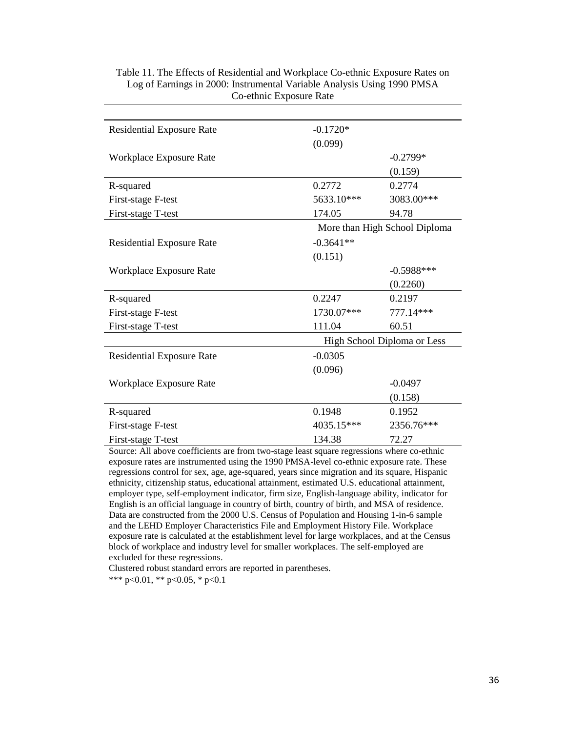| <b>Residential Exposure Rate</b> | $-0.1720*$  |                               |
|----------------------------------|-------------|-------------------------------|
|                                  | (0.099)     |                               |
| Workplace Exposure Rate          |             | $-0.2799*$                    |
|                                  |             | (0.159)                       |
| R-squared                        | 0.2772      | 0.2774                        |
| First-stage F-test               | 5633.10***  | 3083.00***                    |
| First-stage T-test               | 174.05      | 94.78                         |
|                                  |             | More than High School Diploma |
| <b>Residential Exposure Rate</b> | $-0.3641**$ |                               |
|                                  | (0.151)     |                               |
| Workplace Exposure Rate          |             | $-0.5988***$                  |
|                                  |             | (0.2260)                      |
| R-squared                        | 0.2247      | 0.2197                        |
| First-stage F-test               | 1730.07***  | 777.14***                     |
| First-stage T-test               | 111.04      | 60.51                         |
|                                  |             | High School Diploma or Less   |
| <b>Residential Exposure Rate</b> | $-0.0305$   |                               |
|                                  | (0.096)     |                               |
| Workplace Exposure Rate          |             | $-0.0497$                     |
|                                  |             | (0.158)                       |
| R-squared                        | 0.1948      | 0.1952                        |
| First-stage F-test               | 4035.15***  | 2356.76***                    |
| First-stage T-test               | 134.38      | 72.27                         |

Table 11. The Effects of Residential and Workplace Co-ethnic Exposure Rates on Log of Earnings in 2000: Instrumental Variable Analysis Using 1990 PMSA Co-ethnic Exposure Rate

Source: All above coefficients are from two-stage least square regressions where co-ethnic exposure rates are instrumented using the 1990 PMSA-level co-ethnic exposure rate. These regressions control for sex, age, age-squared, years since migration and its square, Hispanic ethnicity, citizenship status, educational attainment, estimated U.S. educational attainment, employer type, self-employment indicator, firm size, English-language ability, indicator for English is an official language in country of birth, country of birth, and MSA of residence. Data are constructed from the 2000 U.S. Census of Population and Housing 1-in-6 sample and the LEHD Employer Characteristics File and Employment History File. Workplace exposure rate is calculated at the establishment level for large workplaces, and at the Census block of workplace and industry level for smaller workplaces. The self-employed are excluded for these regressions.

Clustered robust standard errors are reported in parentheses.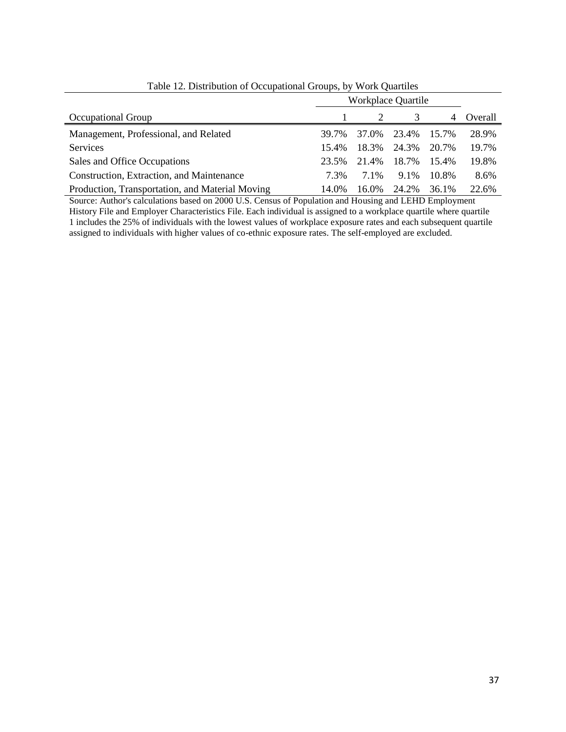| rabic 12. Distribution of Occupational Groups, by Work Quartities |       |                    |         |       |         |  |  |
|-------------------------------------------------------------------|-------|--------------------|---------|-------|---------|--|--|
|                                                                   |       | Workplace Quartile |         |       |         |  |  |
| Occupational Group                                                |       |                    | 3       | 4     | Overall |  |  |
| Management, Professional, and Related                             | 39.7% | 37.0%              | 23.4%   | 15.7% | 28.9%   |  |  |
| <b>Services</b>                                                   | 15.4% | 18.3%              | 24.3%   | 20.7% | 19.7%   |  |  |
| Sales and Office Occupations                                      | 23.5% | 21.4%              | 18.7%   | 15.4% | 19.8%   |  |  |
| Construction, Extraction, and Maintenance                         | 7.3%  | 7.1%               | $9.1\%$ | 10.8% | 8.6%    |  |  |
| Production, Transportation, and Material Moving                   | 14.0% | 16.0%              | 24.2%   | 36.1% | 22.6%   |  |  |

Table 12. Distribution of Occupational Groups, by Work Quartiles

Source: Author's calculations based on 2000 U.S. Census of Population and Housing and LEHD Employment History File and Employer Characteristics File. Each individual is assigned to a workplace quartile where quartile 1 includes the 25% of individuals with the lowest values of workplace exposure rates and each subsequent quartile assigned to individuals with higher values of co-ethnic exposure rates. The self-employed are excluded.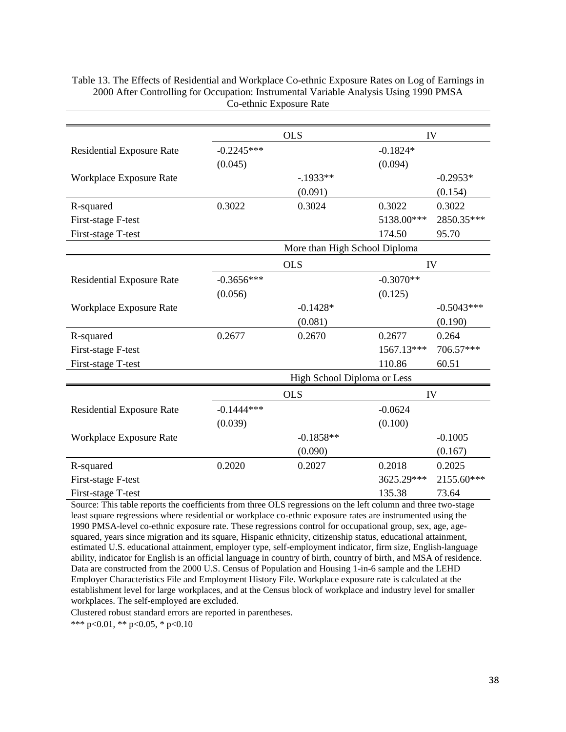|                                  | <b>OLS</b>                    |             | IV          |              |  |
|----------------------------------|-------------------------------|-------------|-------------|--------------|--|
| <b>Residential Exposure Rate</b> | $-0.2245***$                  |             | $-0.1824*$  |              |  |
|                                  | (0.045)                       |             | (0.094)     |              |  |
| Workplace Exposure Rate          |                               | $-1933**$   |             | $-0.2953*$   |  |
|                                  |                               | (0.091)     |             | (0.154)      |  |
| R-squared                        | 0.3022                        | 0.3024      | 0.3022      | 0.3022       |  |
| First-stage F-test               |                               |             | 5138.00***  | 2850.35***   |  |
| First-stage T-test               |                               |             | 174.50      | 95.70        |  |
|                                  | More than High School Diploma |             |             |              |  |
|                                  | <b>OLS</b>                    |             | IV          |              |  |
| <b>Residential Exposure Rate</b> | $-0.3656***$                  |             | $-0.3070**$ |              |  |
|                                  | (0.056)                       |             | (0.125)     |              |  |
| Workplace Exposure Rate          |                               | $-0.1428*$  |             | $-0.5043***$ |  |
|                                  |                               | (0.081)     |             | (0.190)      |  |
| R-squared                        | 0.2677                        | 0.2670      | 0.2677      | 0.264        |  |
| First-stage F-test               |                               |             | 1567.13***  | 706.57***    |  |
| First-stage T-test               |                               |             | 110.86      | 60.51        |  |
|                                  | High School Diploma or Less   |             |             |              |  |
|                                  | <b>OLS</b>                    |             | IV          |              |  |
| <b>Residential Exposure Rate</b> | $-0.1444***$                  |             | $-0.0624$   |              |  |
|                                  | (0.039)                       |             | (0.100)     |              |  |
| Workplace Exposure Rate          |                               | $-0.1858**$ |             | $-0.1005$    |  |
|                                  |                               | (0.090)     |             | (0.167)      |  |
| R-squared                        | 0.2020                        | 0.2027      | 0.2018      | 0.2025       |  |
| First-stage F-test               |                               |             | 3625.29***  | 2155.60***   |  |
| First-stage T-test               |                               |             | 135.38      | 73.64        |  |

## Table 13. The Effects of Residential and Workplace Co-ethnic Exposure Rates on Log of Earnings in 2000 After Controlling for Occupation: Instrumental Variable Analysis Using 1990 PMSA Co-ethnic Exposure Rate

Source: This table reports the coefficients from three OLS regressions on the left column and three two-stage least square regressions where residential or workplace co-ethnic exposure rates are instrumented using the 1990 PMSA-level co-ethnic exposure rate. These regressions control for occupational group, sex, age, agesquared, years since migration and its square, Hispanic ethnicity, citizenship status, educational attainment, estimated U.S. educational attainment, employer type, self-employment indicator, firm size, English-language ability, indicator for English is an official language in country of birth, country of birth, and MSA of residence. Data are constructed from the 2000 U.S. Census of Population and Housing 1-in-6 sample and the LEHD Employer Characteristics File and Employment History File. Workplace exposure rate is calculated at the establishment level for large workplaces, and at the Census block of workplace and industry level for smaller workplaces. The self-employed are excluded.

Clustered robust standard errors are reported in parentheses.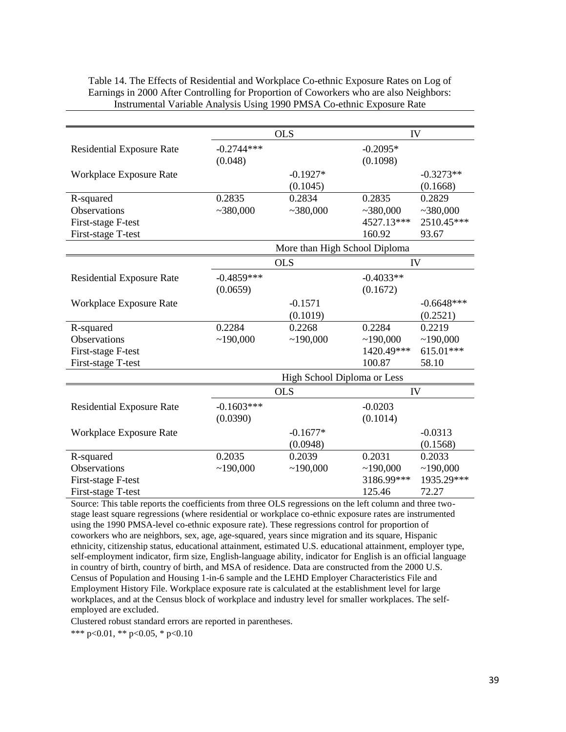|                                  | <b>OLS</b>                    |            | IV          |              |  |
|----------------------------------|-------------------------------|------------|-------------|--------------|--|
| <b>Residential Exposure Rate</b> | $-0.2744***$                  |            | $-0.2095*$  |              |  |
|                                  | (0.048)                       |            | (0.1098)    |              |  |
| <b>Workplace Exposure Rate</b>   |                               | $-0.1927*$ |             | $-0.3273**$  |  |
|                                  |                               | (0.1045)   |             | (0.1668)     |  |
| R-squared                        | 0.2835                        | 0.2834     | 0.2835      | 0.2829       |  |
| <b>Observations</b>              | ~14380,000                    | ~1280,000  | ~1480,000   | ~14380,000   |  |
| First-stage F-test               |                               |            | 4527.13***  | 2510.45***   |  |
| First-stage T-test               |                               |            | 160.92      | 93.67        |  |
|                                  | More than High School Diploma |            |             |              |  |
|                                  | <b>OLS</b>                    |            | IV          |              |  |
| <b>Residential Exposure Rate</b> | $-0.4859***$                  |            | $-0.4033**$ |              |  |
|                                  | (0.0659)                      |            | (0.1672)    |              |  |
| Workplace Exposure Rate          |                               | $-0.1571$  |             | $-0.6648***$ |  |
|                                  |                               | (0.1019)   |             | (0.2521)     |  |
| R-squared                        | 0.2284                        | 0.2268     | 0.2284      | 0.2219       |  |
| Observations                     | ~190,000                      | ~190,000   | ~190,000    | ~190,000     |  |
| First-stage F-test               |                               |            | 1420.49***  | 615.01***    |  |
| First-stage T-test               |                               |            | 100.87      | 58.10        |  |
|                                  | High School Diploma or Less   |            |             |              |  |
|                                  | <b>OLS</b>                    |            | IV          |              |  |
| <b>Residential Exposure Rate</b> | $-0.1603***$                  |            | $-0.0203$   |              |  |
|                                  | (0.0390)                      |            | (0.1014)    |              |  |
| <b>Workplace Exposure Rate</b>   |                               | $-0.1677*$ |             | $-0.0313$    |  |
|                                  |                               | (0.0948)   |             | (0.1568)     |  |
| R-squared                        | 0.2035                        | 0.2039     | 0.2031      | 0.2033       |  |
| <b>Observations</b>              | ~190,000                      | ~190,000   | ~190,000    | ~190,000     |  |
| First-stage F-test               |                               |            | 3186.99***  | 1935.29***   |  |
| First-stage T-test               |                               |            | 125.46      | 72.27        |  |

Table 14. The Effects of Residential and Workplace Co-ethnic Exposure Rates on Log of Earnings in 2000 After Controlling for Proportion of Coworkers who are also Neighbors: Instrumental Variable Analysis Using 1990 PMSA Co-ethnic Exposure Rate

Source: This table reports the coefficients from three OLS regressions on the left column and three twostage least square regressions (where residential or workplace co-ethnic exposure rates are instrumented using the 1990 PMSA-level co-ethnic exposure rate). These regressions control for proportion of coworkers who are neighbors, sex, age, age-squared, years since migration and its square, Hispanic ethnicity, citizenship status, educational attainment, estimated U.S. educational attainment, employer type, self-employment indicator, firm size, English-language ability, indicator for English is an official language in country of birth, country of birth, and MSA of residence. Data are constructed from the 2000 U.S. Census of Population and Housing 1-in-6 sample and the LEHD Employer Characteristics File and Employment History File. Workplace exposure rate is calculated at the establishment level for large workplaces, and at the Census block of workplace and industry level for smaller workplaces. The selfemployed are excluded.

Clustered robust standard errors are reported in parentheses.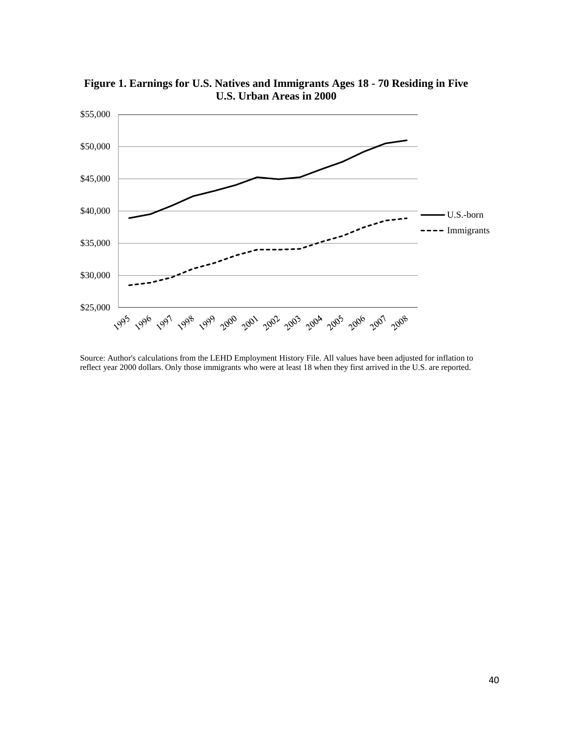

**Figure 1. Earnings for U.S. Natives and Immigrants Ages 18 - 70 Residing in Five U.S. Urban Areas in 2000**

Source: Author's calculations from the LEHD Employment History File. All values have been adjusted for inflation to reflect year 2000 dollars. Only those immigrants who were at least 18 when they first arrived in the U.S. are reported.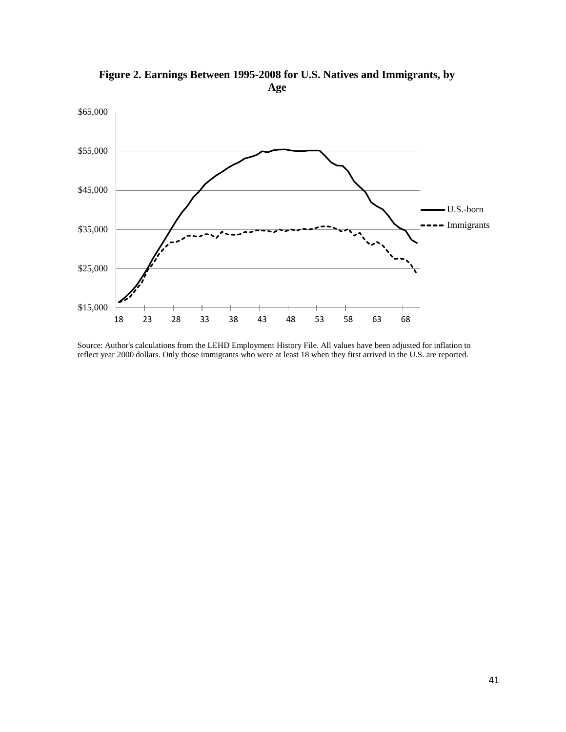

**Figure 2. Earnings Between 1995-2008 for U.S. Natives and Immigrants, by Age**

Source: Author's calculations from the LEHD Employment History File. All values have been adjusted for inflation to reflect year 2000 dollars. Only those immigrants who were at least 18 when they first arrived in the U.S. are reported.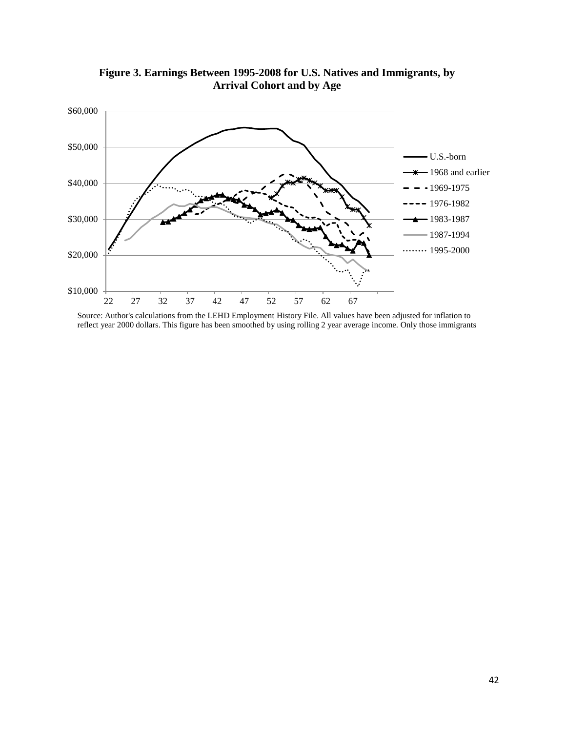

**Figure 3. Earnings Between 1995-2008 for U.S. Natives and Immigrants, by Arrival Cohort and by Age**

Source: Author's calculations from the LEHD Employment History File. All values have been adjusted for inflation to reflect year 2000 dollars. This figure has been smoothed by using rolling 2 year average income. Only those immigrants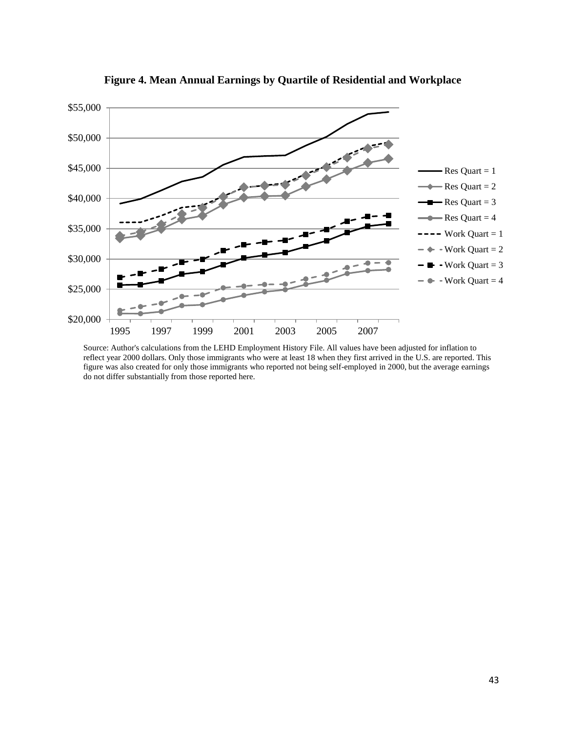

**Figure 4. Mean Annual Earnings by Quartile of Residential and Workplace** 

Source: Author's calculations from the LEHD Employment History File. All values have been adjusted for inflation to reflect year 2000 dollars. Only those immigrants who were at least 18 when they first arrived in the U.S. are reported. This figure was also created for only those immigrants who reported not being self-employed in 2000, but the average earnings do not differ substantially from those reported here.